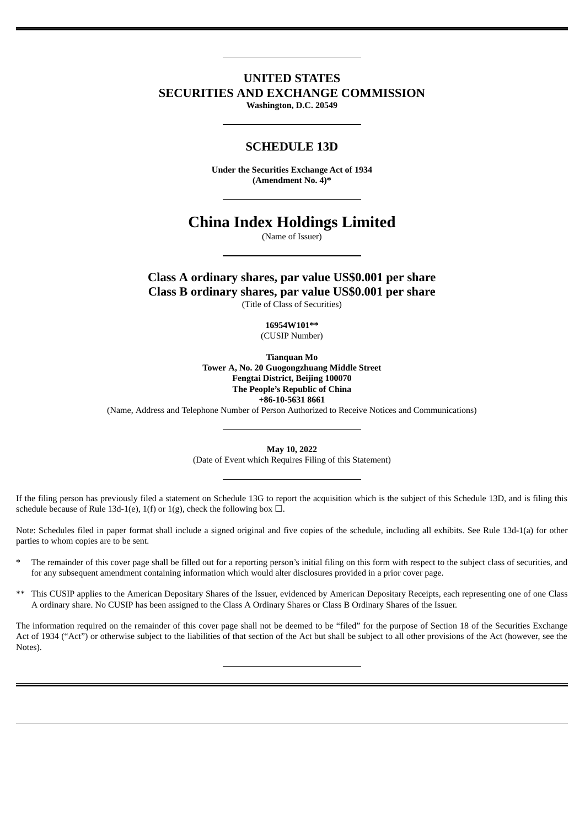# **UNITED STATES SECURITIES AND EXCHANGE COMMISSION**

**Washington, D.C. 20549**

# **SCHEDULE 13D**

**Under the Securities Exchange Act of 1934 (Amendment No. 4)\***

# **China Index Holdings Limited**

(Name of Issuer)

**Class A ordinary shares, par value US\$0.001 per share Class B ordinary shares, par value US\$0.001 per share**

(Title of Class of Securities)

**16954W101\*\*** (CUSIP Number)

**Tianquan Mo Tower A, No. 20 Guogongzhuang Middle Street Fengtai District, Beijing 100070 The People's Republic of China +86-10-5631 8661**

(Name, Address and Telephone Number of Person Authorized to Receive Notices and Communications)

**May 10, 2022** (Date of Event which Requires Filing of this Statement)

If the filing person has previously filed a statement on Schedule 13G to report the acquisition which is the subject of this Schedule 13D, and is filing this schedule because of Rule 13d-1(e), 1(f) or 1(g), check the following box  $\Box$ .

Note: Schedules filed in paper format shall include a signed original and five copies of the schedule, including all exhibits. See Rule 13d-1(a) for other parties to whom copies are to be sent.

- The remainder of this cover page shall be filled out for a reporting person's initial filing on this form with respect to the subject class of securities, and for any subsequent amendment containing information which would alter disclosures provided in a prior cover page.
- \*\* This CUSIP applies to the American Depositary Shares of the Issuer, evidenced by American Depositary Receipts, each representing one of one Class A ordinary share. No CUSIP has been assigned to the Class A Ordinary Shares or Class B Ordinary Shares of the Issuer.

The information required on the remainder of this cover page shall not be deemed to be "filed" for the purpose of Section 18 of the Securities Exchange Act of 1934 ("Act") or otherwise subject to the liabilities of that section of the Act but shall be subject to all other provisions of the Act (however, see the Notes).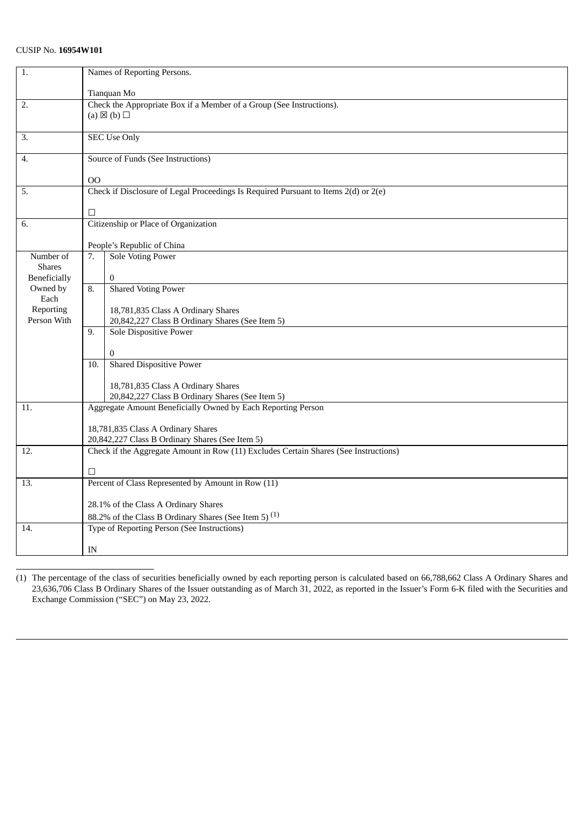| 1.                | Names of Reporting Persons.                                          |                                                                                       |  |  |
|-------------------|----------------------------------------------------------------------|---------------------------------------------------------------------------------------|--|--|
|                   | Tianquan Mo                                                          |                                                                                       |  |  |
| 2.                | Check the Appropriate Box if a Member of a Group (See Instructions). |                                                                                       |  |  |
|                   |                                                                      | (a) $\boxtimes$ (b) $\square$                                                         |  |  |
|                   |                                                                      |                                                                                       |  |  |
| 3.                |                                                                      | <b>SEC Use Only</b>                                                                   |  |  |
|                   |                                                                      |                                                                                       |  |  |
| 4.                |                                                                      | Source of Funds (See Instructions)                                                    |  |  |
|                   |                                                                      |                                                                                       |  |  |
|                   | 00                                                                   |                                                                                       |  |  |
| 5.                |                                                                      | Check if Disclosure of Legal Proceedings Is Required Pursuant to Items 2(d) or 2(e)   |  |  |
|                   |                                                                      |                                                                                       |  |  |
|                   | $\Box$                                                               |                                                                                       |  |  |
| 6.                |                                                                      | Citizenship or Place of Organization                                                  |  |  |
|                   |                                                                      |                                                                                       |  |  |
|                   |                                                                      | People's Republic of China                                                            |  |  |
| Number of         | 7.                                                                   | <b>Sole Voting Power</b>                                                              |  |  |
| <b>Shares</b>     |                                                                      |                                                                                       |  |  |
| Beneficially      |                                                                      | $\bf{0}$                                                                              |  |  |
| Owned by          | 8.                                                                   | <b>Shared Voting Power</b>                                                            |  |  |
| Each<br>Reporting |                                                                      |                                                                                       |  |  |
| Person With       |                                                                      | 18,781,835 Class A Ordinary Shares<br>20,842,227 Class B Ordinary Shares (See Item 5) |  |  |
|                   | 9.                                                                   |                                                                                       |  |  |
|                   |                                                                      | Sole Dispositive Power                                                                |  |  |
|                   |                                                                      | 0                                                                                     |  |  |
|                   | 10.                                                                  | <b>Shared Dispositive Power</b>                                                       |  |  |
|                   |                                                                      |                                                                                       |  |  |
|                   |                                                                      | 18,781,835 Class A Ordinary Shares                                                    |  |  |
|                   |                                                                      | 20,842,227 Class B Ordinary Shares (See Item 5)                                       |  |  |
| 11.               |                                                                      | Aggregate Amount Beneficially Owned by Each Reporting Person                          |  |  |
|                   |                                                                      |                                                                                       |  |  |
|                   |                                                                      | 18,781,835 Class A Ordinary Shares                                                    |  |  |
|                   |                                                                      | 20,842,227 Class B Ordinary Shares (See Item 5)                                       |  |  |
| 12.               |                                                                      | Check if the Aggregate Amount in Row (11) Excludes Certain Shares (See Instructions)  |  |  |
|                   |                                                                      |                                                                                       |  |  |
|                   | □                                                                    |                                                                                       |  |  |
| 13.               |                                                                      | Percent of Class Represented by Amount in Row (11)                                    |  |  |
|                   |                                                                      |                                                                                       |  |  |
|                   | 28.1% of the Class A Ordinary Shares                                 |                                                                                       |  |  |
|                   |                                                                      | 88.2% of the Class B Ordinary Shares (See Item 5) <sup>(1)</sup>                      |  |  |
| 14.               |                                                                      | Type of Reporting Person (See Instructions)                                           |  |  |
|                   | IN                                                                   |                                                                                       |  |  |
|                   |                                                                      |                                                                                       |  |  |

(1) The percentage of the class of securities beneficially owned by each reporting person is calculated based on 66,788,662 Class A Ordinary Shares and 23,636,706 Class B Ordinary Shares of the Issuer outstanding as of March 31, 2022, as reported in the Issuer's Form 6-K filed with the Securities and Exchange Commission ("SEC") on May 23, 2022.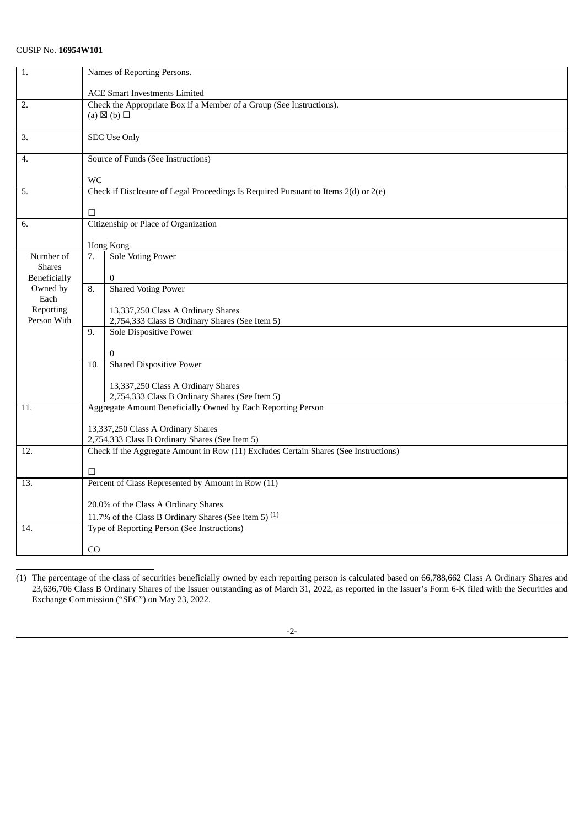| 1.                       | Names of Reporting Persons.                                          |                                                                                      |  |  |
|--------------------------|----------------------------------------------------------------------|--------------------------------------------------------------------------------------|--|--|
|                          | <b>ACE Smart Investments Limited</b>                                 |                                                                                      |  |  |
| 2.                       | Check the Appropriate Box if a Member of a Group (See Instructions). |                                                                                      |  |  |
|                          |                                                                      | (a) $\boxtimes$ (b) $\square$                                                        |  |  |
|                          |                                                                      |                                                                                      |  |  |
| 3.                       |                                                                      | <b>SEC Use Only</b>                                                                  |  |  |
|                          |                                                                      |                                                                                      |  |  |
| 4.                       |                                                                      | Source of Funds (See Instructions)                                                   |  |  |
|                          |                                                                      |                                                                                      |  |  |
| 5.                       | <b>WC</b>                                                            | Check if Disclosure of Legal Proceedings Is Required Pursuant to Items 2(d) or 2(e)  |  |  |
|                          |                                                                      |                                                                                      |  |  |
|                          | □                                                                    |                                                                                      |  |  |
| 6.                       |                                                                      | Citizenship or Place of Organization                                                 |  |  |
|                          |                                                                      |                                                                                      |  |  |
|                          | Hong Kong                                                            |                                                                                      |  |  |
| Number of                | 7.                                                                   | <b>Sole Voting Power</b>                                                             |  |  |
| <b>Shares</b>            |                                                                      |                                                                                      |  |  |
| <b>Beneficially</b>      |                                                                      | $\overline{0}$                                                                       |  |  |
| Owned by                 | 8.                                                                   | <b>Shared Voting Power</b>                                                           |  |  |
| Each                     |                                                                      |                                                                                      |  |  |
| Reporting<br>Person With |                                                                      | 13,337,250 Class A Ordinary Shares                                                   |  |  |
|                          |                                                                      | 2,754,333 Class B Ordinary Shares (See Item 5)                                       |  |  |
|                          | 9.                                                                   | <b>Sole Dispositive Power</b>                                                        |  |  |
|                          |                                                                      | $\mathbf{0}$                                                                         |  |  |
|                          | 10.                                                                  | <b>Shared Dispositive Power</b>                                                      |  |  |
|                          |                                                                      |                                                                                      |  |  |
|                          |                                                                      | 13,337,250 Class A Ordinary Shares                                                   |  |  |
|                          |                                                                      | 2,754,333 Class B Ordinary Shares (See Item 5)                                       |  |  |
| 11.                      |                                                                      | Aggregate Amount Beneficially Owned by Each Reporting Person                         |  |  |
|                          |                                                                      |                                                                                      |  |  |
|                          |                                                                      | 13,337,250 Class A Ordinary Shares                                                   |  |  |
|                          |                                                                      | 2,754,333 Class B Ordinary Shares (See Item 5)                                       |  |  |
| 12.                      |                                                                      | Check if the Aggregate Amount in Row (11) Excludes Certain Shares (See Instructions) |  |  |
|                          | □                                                                    |                                                                                      |  |  |
| 13.                      |                                                                      | Percent of Class Represented by Amount in Row (11)                                   |  |  |
|                          |                                                                      |                                                                                      |  |  |
|                          |                                                                      | 20.0% of the Class A Ordinary Shares                                                 |  |  |
|                          |                                                                      | 11.7% of the Class B Ordinary Shares (See Item 5) $(1)$                              |  |  |
| 14.                      |                                                                      | Type of Reporting Person (See Instructions)                                          |  |  |
|                          |                                                                      |                                                                                      |  |  |
|                          | C <sub>O</sub>                                                       |                                                                                      |  |  |
|                          |                                                                      |                                                                                      |  |  |

<sup>(1)</sup> The percentage of the class of securities beneficially owned by each reporting person is calculated based on 66,788,662 Class A Ordinary Shares and 23,636,706 Class B Ordinary Shares of the Issuer outstanding as of March 31, 2022, as reported in the Issuer's Form 6-K filed with the Securities and Exchange Commission ("SEC") on May 23, 2022.

<sup>-2-</sup>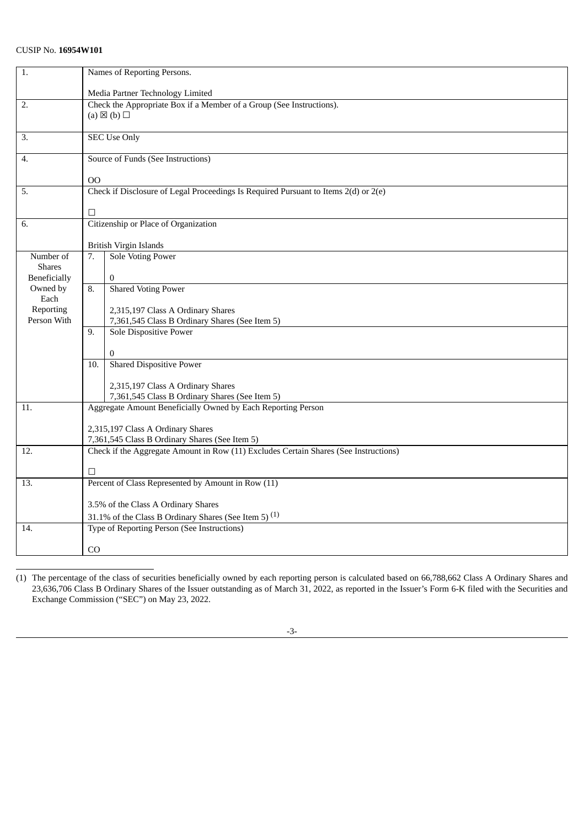| 1.                                   | Names of Reporting Persons.                                          |                                                                                      |  |  |
|--------------------------------------|----------------------------------------------------------------------|--------------------------------------------------------------------------------------|--|--|
|                                      | Media Partner Technology Limited                                     |                                                                                      |  |  |
| 2.                                   | Check the Appropriate Box if a Member of a Group (See Instructions). |                                                                                      |  |  |
|                                      |                                                                      | (a) $\boxtimes$ (b) $\square$                                                        |  |  |
|                                      |                                                                      |                                                                                      |  |  |
| 3.                                   |                                                                      | <b>SEC Use Only</b>                                                                  |  |  |
|                                      |                                                                      |                                                                                      |  |  |
| 4.                                   |                                                                      | Source of Funds (See Instructions)                                                   |  |  |
|                                      | <sub>00</sub>                                                        |                                                                                      |  |  |
| 5.                                   |                                                                      | Check if Disclosure of Legal Proceedings Is Required Pursuant to Items 2(d) or 2(e)  |  |  |
|                                      |                                                                      |                                                                                      |  |  |
|                                      | □                                                                    |                                                                                      |  |  |
| 6.                                   |                                                                      | Citizenship or Place of Organization                                                 |  |  |
|                                      |                                                                      |                                                                                      |  |  |
|                                      |                                                                      | <b>British Virgin Islands</b>                                                        |  |  |
| Number of                            | 7.                                                                   | <b>Sole Voting Power</b>                                                             |  |  |
| <b>Shares</b><br><b>Beneficially</b> |                                                                      | $\overline{0}$                                                                       |  |  |
| Owned by                             | 8.                                                                   | <b>Shared Voting Power</b>                                                           |  |  |
| Each                                 |                                                                      |                                                                                      |  |  |
| Reporting                            |                                                                      | 2,315,197 Class A Ordinary Shares                                                    |  |  |
| Person With                          |                                                                      | 7,361,545 Class B Ordinary Shares (See Item 5)                                       |  |  |
|                                      | 9.                                                                   | <b>Sole Dispositive Power</b>                                                        |  |  |
|                                      |                                                                      |                                                                                      |  |  |
|                                      |                                                                      | $\mathbf{0}$                                                                         |  |  |
|                                      | 10.                                                                  | <b>Shared Dispositive Power</b>                                                      |  |  |
|                                      |                                                                      | 2,315,197 Class A Ordinary Shares                                                    |  |  |
|                                      |                                                                      | 7,361,545 Class B Ordinary Shares (See Item 5)                                       |  |  |
| 11.                                  |                                                                      | Aggregate Amount Beneficially Owned by Each Reporting Person                         |  |  |
|                                      |                                                                      |                                                                                      |  |  |
|                                      |                                                                      | 2,315,197 Class A Ordinary Shares                                                    |  |  |
|                                      | 7,361,545 Class B Ordinary Shares (See Item 5)                       |                                                                                      |  |  |
| 12.                                  |                                                                      | Check if the Aggregate Amount in Row (11) Excludes Certain Shares (See Instructions) |  |  |
|                                      |                                                                      |                                                                                      |  |  |
| 13.                                  | □                                                                    | Percent of Class Represented by Amount in Row (11)                                   |  |  |
|                                      |                                                                      |                                                                                      |  |  |
|                                      |                                                                      | 3.5% of the Class A Ordinary Shares                                                  |  |  |
|                                      |                                                                      | 31.1% of the Class B Ordinary Shares (See Item 5) <sup>(1)</sup>                     |  |  |
| 14.                                  |                                                                      | Type of Reporting Person (See Instructions)                                          |  |  |
|                                      |                                                                      |                                                                                      |  |  |
|                                      | C <sub>O</sub>                                                       |                                                                                      |  |  |
|                                      |                                                                      |                                                                                      |  |  |

<sup>(1)</sup> The percentage of the class of securities beneficially owned by each reporting person is calculated based on 66,788,662 Class A Ordinary Shares and 23,636,706 Class B Ordinary Shares of the Issuer outstanding as of March 31, 2022, as reported in the Issuer's Form 6-K filed with the Securities and Exchange Commission ("SEC") on May 23, 2022.

<sup>-3-</sup>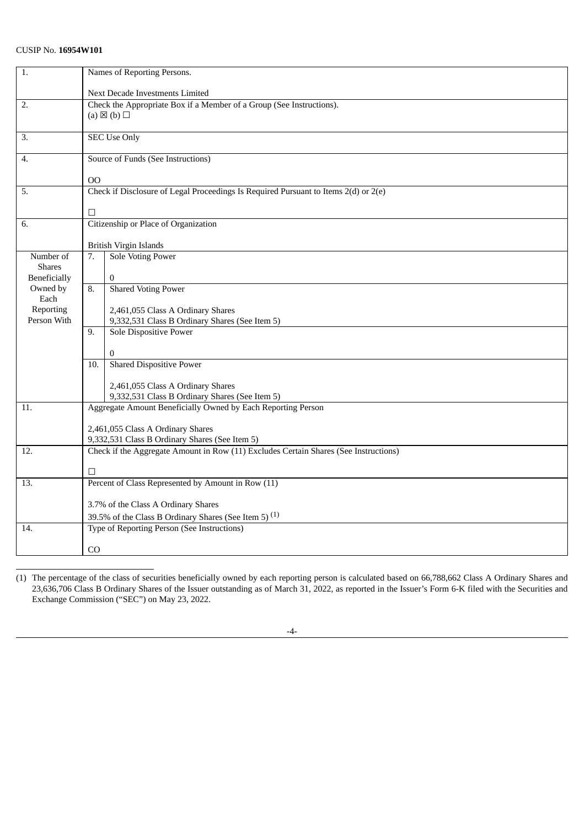| 1.                       | Names of Reporting Persons.                                          |                                                                                      |  |  |
|--------------------------|----------------------------------------------------------------------|--------------------------------------------------------------------------------------|--|--|
|                          | Next Decade Investments Limited                                      |                                                                                      |  |  |
| 2.                       | Check the Appropriate Box if a Member of a Group (See Instructions). |                                                                                      |  |  |
|                          |                                                                      | (a) $\boxtimes$ (b) $\square$                                                        |  |  |
| 3.                       |                                                                      | <b>SEC Use Only</b>                                                                  |  |  |
|                          |                                                                      |                                                                                      |  |  |
| 4.                       |                                                                      | Source of Funds (See Instructions)                                                   |  |  |
|                          | 00                                                                   |                                                                                      |  |  |
| 5.                       |                                                                      | Check if Disclosure of Legal Proceedings Is Required Pursuant to Items 2(d) or 2(e)  |  |  |
|                          | □                                                                    |                                                                                      |  |  |
| 6.                       |                                                                      | Citizenship or Place of Organization                                                 |  |  |
|                          |                                                                      |                                                                                      |  |  |
|                          |                                                                      | British Virgin Islands                                                               |  |  |
| Number of                | 7.                                                                   | <b>Sole Voting Power</b>                                                             |  |  |
| <b>Shares</b>            |                                                                      |                                                                                      |  |  |
| Beneficially<br>Owned by | 8.                                                                   | $\overline{0}$<br><b>Shared Voting Power</b>                                         |  |  |
| Each                     |                                                                      |                                                                                      |  |  |
| Reporting                |                                                                      | 2,461,055 Class A Ordinary Shares                                                    |  |  |
| Person With              |                                                                      | 9,332,531 Class B Ordinary Shares (See Item 5)                                       |  |  |
|                          | 9.                                                                   | <b>Sole Dispositive Power</b>                                                        |  |  |
|                          |                                                                      |                                                                                      |  |  |
|                          | 10.                                                                  | $\bf{0}$<br><b>Shared Dispositive Power</b>                                          |  |  |
|                          |                                                                      |                                                                                      |  |  |
|                          |                                                                      | 2,461,055 Class A Ordinary Shares                                                    |  |  |
|                          |                                                                      | 9,332,531 Class B Ordinary Shares (See Item 5)                                       |  |  |
| 11.                      |                                                                      | Aggregate Amount Beneficially Owned by Each Reporting Person                         |  |  |
|                          |                                                                      |                                                                                      |  |  |
|                          |                                                                      | 2,461,055 Class A Ordinary Shares<br>9,332,531 Class B Ordinary Shares (See Item 5)  |  |  |
| 12.                      |                                                                      | Check if the Aggregate Amount in Row (11) Excludes Certain Shares (See Instructions) |  |  |
|                          |                                                                      |                                                                                      |  |  |
|                          | □                                                                    |                                                                                      |  |  |
| 13.                      |                                                                      | Percent of Class Represented by Amount in Row (11)                                   |  |  |
|                          | 3.7% of the Class A Ordinary Shares                                  |                                                                                      |  |  |
|                          |                                                                      | 39.5% of the Class B Ordinary Shares (See Item 5) <sup>(1)</sup>                     |  |  |
| 14.                      |                                                                      | Type of Reporting Person (See Instructions)                                          |  |  |
|                          | C <sub>O</sub>                                                       |                                                                                      |  |  |
|                          |                                                                      |                                                                                      |  |  |

<sup>(1)</sup> The percentage of the class of securities beneficially owned by each reporting person is calculated based on 66,788,662 Class A Ordinary Shares and 23,636,706 Class B Ordinary Shares of the Issuer outstanding as of March 31, 2022, as reported in the Issuer's Form 6-K filed with the Securities and Exchange Commission ("SEC") on May 23, 2022.

<sup>-4-</sup>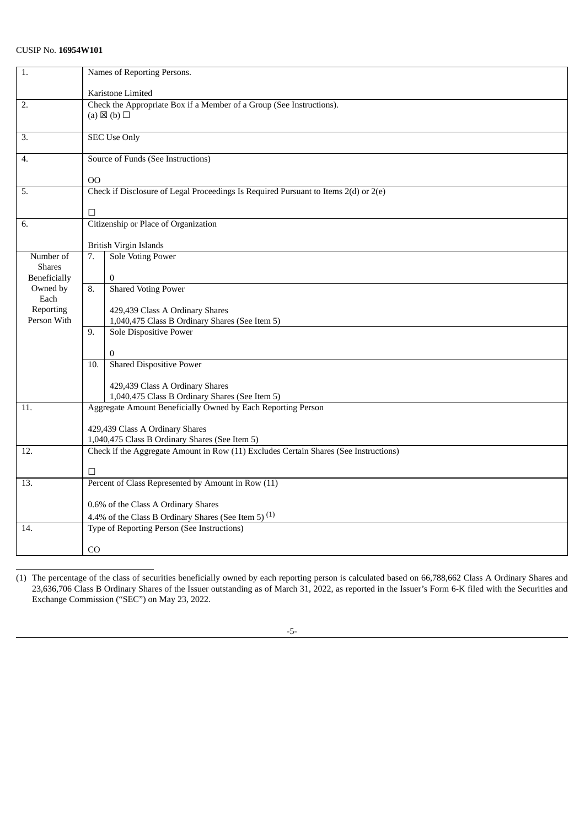| $\overline{1}$ .         | Names of Reporting Persons.                                                                                                            |                                                                                     |  |
|--------------------------|----------------------------------------------------------------------------------------------------------------------------------------|-------------------------------------------------------------------------------------|--|
|                          | Karistone Limited                                                                                                                      |                                                                                     |  |
| 2.                       | Check the Appropriate Box if a Member of a Group (See Instructions).                                                                   |                                                                                     |  |
|                          |                                                                                                                                        | (a) $\boxtimes$ (b) $\square$                                                       |  |
| 3.                       |                                                                                                                                        | <b>SEC Use Only</b>                                                                 |  |
|                          |                                                                                                                                        |                                                                                     |  |
| 4.                       |                                                                                                                                        | Source of Funds (See Instructions)                                                  |  |
|                          | <sub>00</sub>                                                                                                                          |                                                                                     |  |
| 5.                       |                                                                                                                                        | Check if Disclosure of Legal Proceedings Is Required Pursuant to Items 2(d) or 2(e) |  |
|                          |                                                                                                                                        |                                                                                     |  |
|                          | □                                                                                                                                      |                                                                                     |  |
| 6.                       |                                                                                                                                        | Citizenship or Place of Organization                                                |  |
|                          |                                                                                                                                        | <b>British Virgin Islands</b>                                                       |  |
| Number of                | 7.                                                                                                                                     | <b>Sole Voting Power</b>                                                            |  |
| <b>Shares</b>            |                                                                                                                                        |                                                                                     |  |
| <b>Beneficially</b>      |                                                                                                                                        | $\overline{0}$                                                                      |  |
| Owned by                 | 8.                                                                                                                                     | <b>Shared Voting Power</b>                                                          |  |
| Each                     |                                                                                                                                        |                                                                                     |  |
| Reporting<br>Person With |                                                                                                                                        | 429,439 Class A Ordinary Shares                                                     |  |
|                          | 9.                                                                                                                                     | 1,040,475 Class B Ordinary Shares (See Item 5)<br><b>Sole Dispositive Power</b>     |  |
|                          |                                                                                                                                        |                                                                                     |  |
|                          |                                                                                                                                        | 0                                                                                   |  |
|                          | 10.                                                                                                                                    | <b>Shared Dispositive Power</b>                                                     |  |
|                          |                                                                                                                                        |                                                                                     |  |
|                          |                                                                                                                                        | 429,439 Class A Ordinary Shares                                                     |  |
|                          |                                                                                                                                        | 1,040,475 Class B Ordinary Shares (See Item 5)                                      |  |
| 11.                      |                                                                                                                                        | Aggregate Amount Beneficially Owned by Each Reporting Person                        |  |
|                          |                                                                                                                                        |                                                                                     |  |
|                          | 429,439 Class A Ordinary Shares                                                                                                        |                                                                                     |  |
| 12.                      | 1,040,475 Class B Ordinary Shares (See Item 5)<br>Check if the Aggregate Amount in Row (11) Excludes Certain Shares (See Instructions) |                                                                                     |  |
|                          |                                                                                                                                        |                                                                                     |  |
|                          | □                                                                                                                                      |                                                                                     |  |
| 13.                      |                                                                                                                                        | Percent of Class Represented by Amount in Row (11)                                  |  |
|                          |                                                                                                                                        | 0.6% of the Class A Ordinary Shares                                                 |  |
|                          |                                                                                                                                        | 4.4% of the Class B Ordinary Shares (See Item 5) <sup>(1)</sup>                     |  |
| 14.                      |                                                                                                                                        | Type of Reporting Person (See Instructions)                                         |  |
|                          | C <sub>O</sub>                                                                                                                         |                                                                                     |  |
|                          |                                                                                                                                        |                                                                                     |  |

<sup>(1)</sup> The percentage of the class of securities beneficially owned by each reporting person is calculated based on 66,788,662 Class A Ordinary Shares and 23,636,706 Class B Ordinary Shares of the Issuer outstanding as of March 31, 2022, as reported in the Issuer's Form 6-K filed with the Securities and Exchange Commission ("SEC") on May 23, 2022.

<sup>-5-</sup>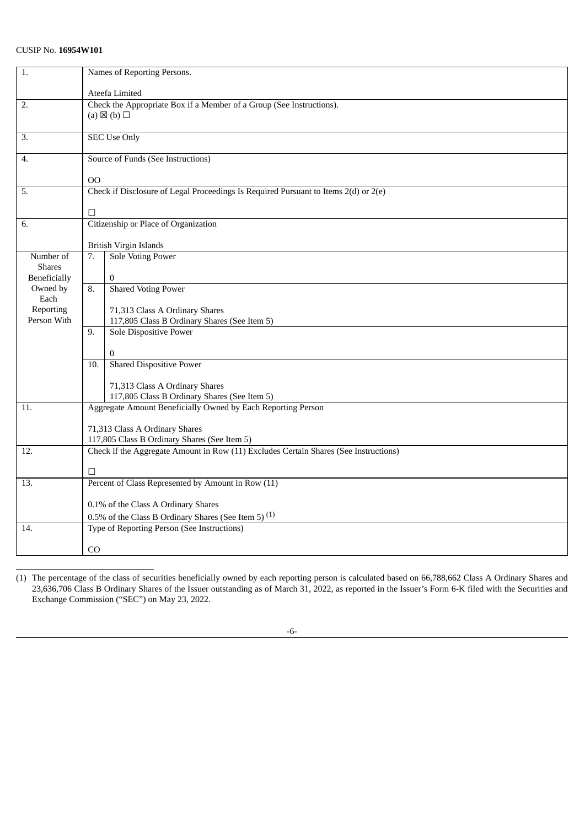| 1.                       | Names of Reporting Persons.                                          |                                                                                                              |  |  |
|--------------------------|----------------------------------------------------------------------|--------------------------------------------------------------------------------------------------------------|--|--|
|                          | Ateefa Limited                                                       |                                                                                                              |  |  |
| 2.                       | Check the Appropriate Box if a Member of a Group (See Instructions). |                                                                                                              |  |  |
|                          |                                                                      | (a) $\boxtimes$ (b) $\square$                                                                                |  |  |
|                          |                                                                      |                                                                                                              |  |  |
| 3.                       |                                                                      | <b>SEC Use Only</b>                                                                                          |  |  |
|                          |                                                                      |                                                                                                              |  |  |
| 4.                       |                                                                      | Source of Funds (See Instructions)                                                                           |  |  |
|                          | 00                                                                   |                                                                                                              |  |  |
| 5.                       |                                                                      | Check if Disclosure of Legal Proceedings Is Required Pursuant to Items 2(d) or 2(e)                          |  |  |
|                          |                                                                      |                                                                                                              |  |  |
|                          | □                                                                    |                                                                                                              |  |  |
| 6.                       |                                                                      | Citizenship or Place of Organization                                                                         |  |  |
|                          |                                                                      |                                                                                                              |  |  |
|                          |                                                                      | British Virgin Islands                                                                                       |  |  |
| Number of                | 7.                                                                   | <b>Sole Voting Power</b>                                                                                     |  |  |
| <b>Shares</b>            |                                                                      |                                                                                                              |  |  |
| Beneficially<br>Owned by | 8.                                                                   | $\overline{0}$<br>Shared Voting Power                                                                        |  |  |
| Each                     |                                                                      |                                                                                                              |  |  |
| Reporting                |                                                                      | 71,313 Class A Ordinary Shares                                                                               |  |  |
| Person With              |                                                                      | 117,805 Class B Ordinary Shares (See Item 5)                                                                 |  |  |
|                          | 9.                                                                   | <b>Sole Dispositive Power</b>                                                                                |  |  |
|                          |                                                                      |                                                                                                              |  |  |
|                          |                                                                      | $\mathbf{0}$                                                                                                 |  |  |
|                          | 10.                                                                  | <b>Shared Dispositive Power</b>                                                                              |  |  |
|                          |                                                                      |                                                                                                              |  |  |
|                          |                                                                      | 71,313 Class A Ordinary Shares                                                                               |  |  |
| 11.                      |                                                                      | 117,805 Class B Ordinary Shares (See Item 5)<br>Aggregate Amount Beneficially Owned by Each Reporting Person |  |  |
|                          |                                                                      |                                                                                                              |  |  |
|                          |                                                                      | 71,313 Class A Ordinary Shares                                                                               |  |  |
|                          |                                                                      | 117,805 Class B Ordinary Shares (See Item 5)                                                                 |  |  |
| 12.                      |                                                                      | Check if the Aggregate Amount in Row (11) Excludes Certain Shares (See Instructions)                         |  |  |
|                          |                                                                      |                                                                                                              |  |  |
|                          | □                                                                    |                                                                                                              |  |  |
| 13.                      |                                                                      | Percent of Class Represented by Amount in Row (11)                                                           |  |  |
|                          |                                                                      | 0.1% of the Class A Ordinary Shares                                                                          |  |  |
|                          |                                                                      | 0.5% of the Class B Ordinary Shares (See Item 5) <sup>(1)</sup>                                              |  |  |
| 14.                      |                                                                      | Type of Reporting Person (See Instructions)                                                                  |  |  |
|                          |                                                                      |                                                                                                              |  |  |
|                          | C <sub>O</sub>                                                       |                                                                                                              |  |  |

<sup>(1)</sup> The percentage of the class of securities beneficially owned by each reporting person is calculated based on 66,788,662 Class A Ordinary Shares and 23,636,706 Class B Ordinary Shares of the Issuer outstanding as of March 31, 2022, as reported in the Issuer's Form 6-K filed with the Securities and Exchange Commission ("SEC") on May 23, 2022.

<sup>-6-</sup>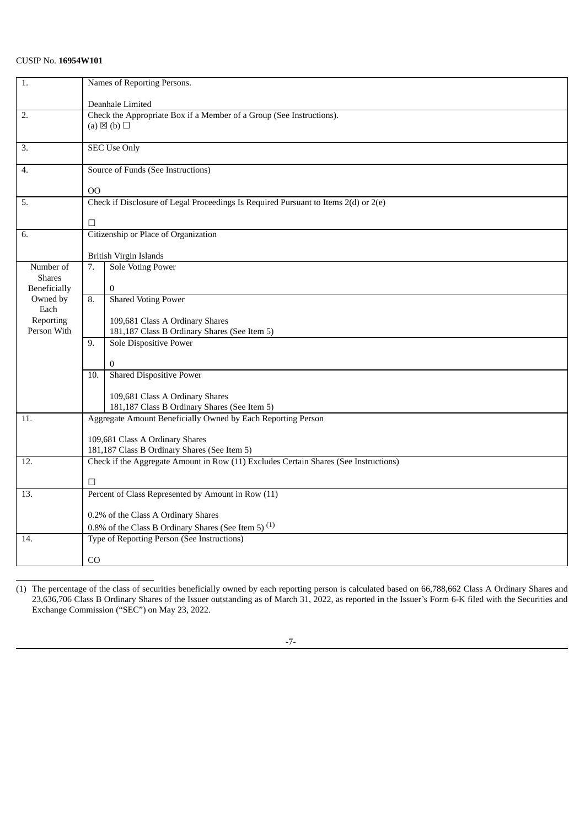| 1.                            | Names of Reporting Persons.                                                          |  |  |
|-------------------------------|--------------------------------------------------------------------------------------|--|--|
|                               | Deanhale Limited                                                                     |  |  |
| 2.                            | Check the Appropriate Box if a Member of a Group (See Instructions).                 |  |  |
|                               | (a) $\boxtimes$ (b) $\square$                                                        |  |  |
| 3.                            | <b>SEC Use Only</b>                                                                  |  |  |
| 4.                            | Source of Funds (See Instructions)                                                   |  |  |
|                               | 00                                                                                   |  |  |
| 5.                            | Check if Disclosure of Legal Proceedings Is Required Pursuant to Items 2(d) or 2(e)  |  |  |
|                               | □                                                                                    |  |  |
| 6.                            | Citizenship or Place of Organization                                                 |  |  |
|                               | <b>British Virgin Islands</b>                                                        |  |  |
| Number of                     | <b>Sole Voting Power</b><br>7.                                                       |  |  |
| <b>Shares</b><br>Beneficially | $\overline{0}$                                                                       |  |  |
| Owned by                      | <b>Shared Voting Power</b><br>8.                                                     |  |  |
| Each                          |                                                                                      |  |  |
| Reporting<br>Person With      | 109,681 Class A Ordinary Shares<br>181,187 Class B Ordinary Shares (See Item 5)      |  |  |
|                               | Sole Dispositive Power<br>9.                                                         |  |  |
|                               |                                                                                      |  |  |
|                               | $\mathbf{0}$                                                                         |  |  |
|                               | <b>Shared Dispositive Power</b><br>10.                                               |  |  |
|                               | 109,681 Class A Ordinary Shares                                                      |  |  |
|                               | 181,187 Class B Ordinary Shares (See Item 5)                                         |  |  |
| 11.                           | Aggregate Amount Beneficially Owned by Each Reporting Person                         |  |  |
|                               | 109,681 Class A Ordinary Shares                                                      |  |  |
|                               | 181,187 Class B Ordinary Shares (See Item 5)                                         |  |  |
| 12.                           | Check if the Aggregate Amount in Row (11) Excludes Certain Shares (See Instructions) |  |  |
|                               | □                                                                                    |  |  |
| 13.                           | Percent of Class Represented by Amount in Row (11)                                   |  |  |
|                               | 0.2% of the Class A Ordinary Shares                                                  |  |  |
|                               | 0.8% of the Class B Ordinary Shares (See Item 5) $(1)$                               |  |  |
| 14.                           | Type of Reporting Person (See Instructions)                                          |  |  |
|                               | CO                                                                                   |  |  |
|                               |                                                                                      |  |  |

(1) The percentage of the class of securities beneficially owned by each reporting person is calculated based on 66,788,662 Class A Ordinary Shares and 23,636,706 Class B Ordinary Shares of the Issuer outstanding as of March 31, 2022, as reported in the Issuer's Form 6-K filed with the Securities and Exchange Commission ("SEC") on May 23, 2022.

-7-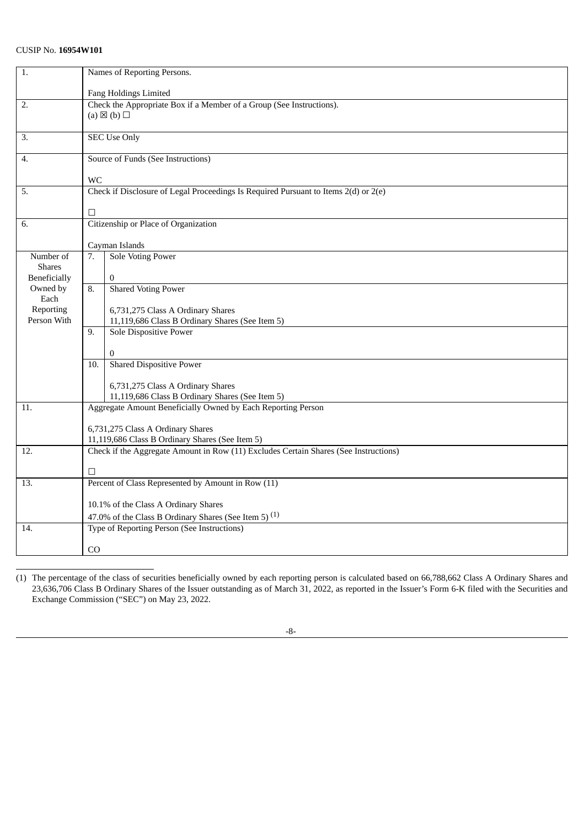| $\overline{1}$ .    | Names of Reporting Persons.                                          |                                                                                      |  |  |
|---------------------|----------------------------------------------------------------------|--------------------------------------------------------------------------------------|--|--|
|                     | Fang Holdings Limited                                                |                                                                                      |  |  |
| 2.                  | Check the Appropriate Box if a Member of a Group (See Instructions). |                                                                                      |  |  |
|                     |                                                                      | (a) $\boxtimes$ (b) $\square$                                                        |  |  |
|                     |                                                                      |                                                                                      |  |  |
| 3.                  |                                                                      | <b>SEC Use Only</b>                                                                  |  |  |
|                     |                                                                      |                                                                                      |  |  |
| 4.                  |                                                                      | Source of Funds (See Instructions)                                                   |  |  |
|                     |                                                                      |                                                                                      |  |  |
|                     | <b>WC</b>                                                            |                                                                                      |  |  |
| 5.                  |                                                                      | Check if Disclosure of Legal Proceedings Is Required Pursuant to Items 2(d) or 2(e)  |  |  |
|                     |                                                                      |                                                                                      |  |  |
|                     | □                                                                    |                                                                                      |  |  |
| 6.                  |                                                                      | Citizenship or Place of Organization                                                 |  |  |
|                     |                                                                      |                                                                                      |  |  |
|                     |                                                                      | Cayman Islands                                                                       |  |  |
| Number of           | 7.                                                                   | <b>Sole Voting Power</b>                                                             |  |  |
| <b>Shares</b>       |                                                                      |                                                                                      |  |  |
| <b>Beneficially</b> |                                                                      | $\mathbf{0}$                                                                         |  |  |
| Owned by            | 8.                                                                   | <b>Shared Voting Power</b>                                                           |  |  |
| Each<br>Reporting   |                                                                      |                                                                                      |  |  |
| Person With         |                                                                      | 6,731,275 Class A Ordinary Shares<br>11,119,686 Class B Ordinary Shares (See Item 5) |  |  |
|                     | 9.                                                                   |                                                                                      |  |  |
|                     |                                                                      | <b>Sole Dispositive Power</b>                                                        |  |  |
|                     |                                                                      | $\mathbf{0}$                                                                         |  |  |
|                     | 10.                                                                  | <b>Shared Dispositive Power</b>                                                      |  |  |
|                     |                                                                      |                                                                                      |  |  |
|                     |                                                                      | 6,731,275 Class A Ordinary Shares                                                    |  |  |
|                     |                                                                      | 11,119,686 Class B Ordinary Shares (See Item 5)                                      |  |  |
| 11.                 |                                                                      | Aggregate Amount Beneficially Owned by Each Reporting Person                         |  |  |
|                     |                                                                      |                                                                                      |  |  |
|                     |                                                                      | 6,731,275 Class A Ordinary Shares                                                    |  |  |
|                     |                                                                      | 11,119,686 Class B Ordinary Shares (See Item 5)                                      |  |  |
| 12.                 |                                                                      | Check if the Aggregate Amount in Row (11) Excludes Certain Shares (See Instructions) |  |  |
|                     |                                                                      |                                                                                      |  |  |
|                     | □                                                                    |                                                                                      |  |  |
| 13.                 |                                                                      | Percent of Class Represented by Amount in Row (11)                                   |  |  |
|                     |                                                                      |                                                                                      |  |  |
|                     | 10.1% of the Class A Ordinary Shares                                 |                                                                                      |  |  |
|                     |                                                                      | 47.0% of the Class B Ordinary Shares (See Item 5) <sup>(1)</sup>                     |  |  |
| 14.                 |                                                                      | Type of Reporting Person (See Instructions)                                          |  |  |
|                     |                                                                      |                                                                                      |  |  |
|                     | C <sub>O</sub>                                                       |                                                                                      |  |  |

<sup>(1)</sup> The percentage of the class of securities beneficially owned by each reporting person is calculated based on 66,788,662 Class A Ordinary Shares and 23,636,706 Class B Ordinary Shares of the Issuer outstanding as of March 31, 2022, as reported in the Issuer's Form 6-K filed with the Securities and Exchange Commission ("SEC") on May 23, 2022.

-8-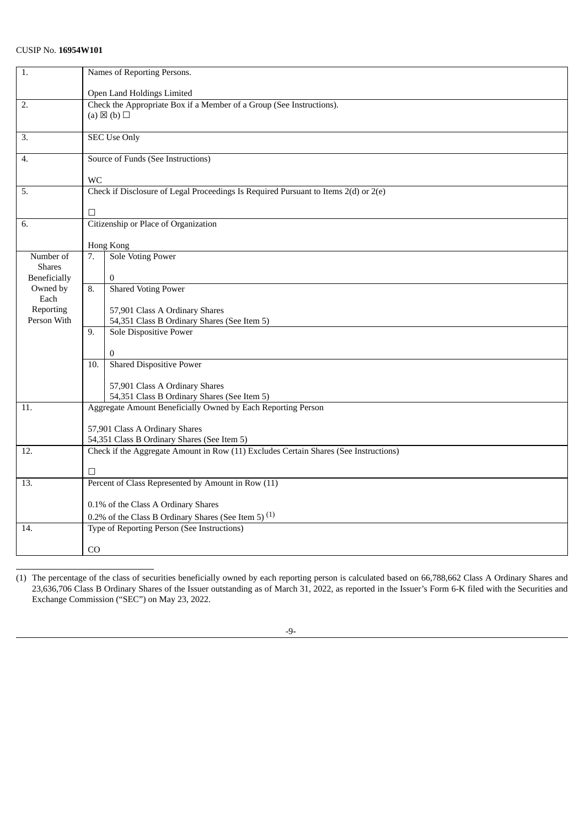| $\overline{1}$ .    | Names of Reporting Persons.                                          |                                                                                      |  |  |
|---------------------|----------------------------------------------------------------------|--------------------------------------------------------------------------------------|--|--|
|                     | Open Land Holdings Limited                                           |                                                                                      |  |  |
| 2.                  | Check the Appropriate Box if a Member of a Group (See Instructions). |                                                                                      |  |  |
|                     |                                                                      | (a) $\boxtimes$ (b) $\square$                                                        |  |  |
|                     |                                                                      |                                                                                      |  |  |
| 3.                  |                                                                      | <b>SEC Use Only</b>                                                                  |  |  |
| 4.                  |                                                                      | Source of Funds (See Instructions)                                                   |  |  |
|                     | <b>WC</b>                                                            |                                                                                      |  |  |
| 5.                  |                                                                      | Check if Disclosure of Legal Proceedings Is Required Pursuant to Items 2(d) or 2(e)  |  |  |
|                     |                                                                      |                                                                                      |  |  |
|                     | $\Box$                                                               |                                                                                      |  |  |
| 6.                  |                                                                      | Citizenship or Place of Organization                                                 |  |  |
|                     | Hong Kong                                                            |                                                                                      |  |  |
| Number of           | 7.                                                                   | <b>Sole Voting Power</b>                                                             |  |  |
| <b>Shares</b>       |                                                                      |                                                                                      |  |  |
| <b>Beneficially</b> |                                                                      | $\mathbf{0}$                                                                         |  |  |
| Owned by            | 8.                                                                   | <b>Shared Voting Power</b>                                                           |  |  |
| Each                |                                                                      |                                                                                      |  |  |
| Reporting           |                                                                      | 57,901 Class A Ordinary Shares                                                       |  |  |
| Person With         |                                                                      | 54,351 Class B Ordinary Shares (See Item 5)                                          |  |  |
|                     | 9.                                                                   | <b>Sole Dispositive Power</b>                                                        |  |  |
|                     |                                                                      | $\overline{0}$                                                                       |  |  |
|                     | 10.                                                                  | <b>Shared Dispositive Power</b>                                                      |  |  |
|                     |                                                                      |                                                                                      |  |  |
|                     |                                                                      | 57,901 Class A Ordinary Shares                                                       |  |  |
|                     |                                                                      | 54,351 Class B Ordinary Shares (See Item 5)                                          |  |  |
| 11.                 |                                                                      | Aggregate Amount Beneficially Owned by Each Reporting Person                         |  |  |
|                     |                                                                      | 57,901 Class A Ordinary Shares                                                       |  |  |
|                     |                                                                      | 54,351 Class B Ordinary Shares (See Item 5)                                          |  |  |
| 12.                 |                                                                      | Check if the Aggregate Amount in Row (11) Excludes Certain Shares (See Instructions) |  |  |
|                     |                                                                      |                                                                                      |  |  |
|                     | П                                                                    |                                                                                      |  |  |
| 13.                 |                                                                      | Percent of Class Represented by Amount in Row (11)                                   |  |  |
|                     |                                                                      | 0.1% of the Class A Ordinary Shares                                                  |  |  |
|                     |                                                                      | 0.2% of the Class B Ordinary Shares (See Item 5) $(1)$                               |  |  |
| 14.                 |                                                                      | Type of Reporting Person (See Instructions)                                          |  |  |
|                     | C <sub>O</sub>                                                       |                                                                                      |  |  |
|                     |                                                                      |                                                                                      |  |  |

<sup>(1)</sup> The percentage of the class of securities beneficially owned by each reporting person is calculated based on 66,788,662 Class A Ordinary Shares and 23,636,706 Class B Ordinary Shares of the Issuer outstanding as of March 31, 2022, as reported in the Issuer's Form 6-K filed with the Securities and Exchange Commission ("SEC") on May 23, 2022.

<sup>-9-</sup>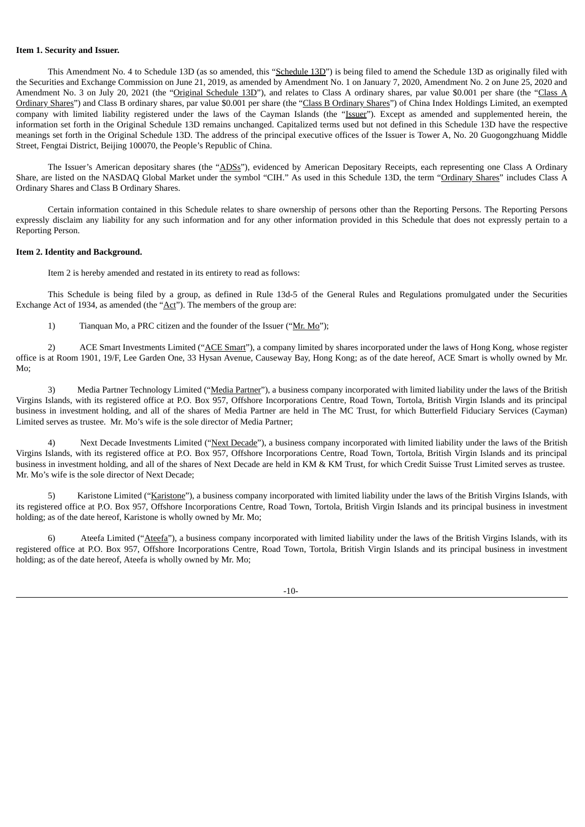#### **Item 1. Security and Issuer.**

This Amendment No. 4 to Schedule 13D (as so amended, this "Schedule 13D") is being filed to amend the Schedule 13D as originally filed with the Securities and Exchange Commission on June 21, 2019, as amended by Amendment No. 1 on January 7, 2020, Amendment No. 2 on June 25, 2020 and Amendment No. 3 on July 20, 2021 (the "Original Schedule 13D"), and relates to Class A ordinary shares, par value \$0.001 per share (the "Class A Ordinary Shares") and Class B ordinary shares, par value \$0.001 per share (the "Class B Ordinary Shares") of China Index Holdings Limited, an exempted company with limited liability registered under the laws of the Cayman Islands (the "Issuer"). Except as amended and supplemented herein, the information set forth in the Original Schedule 13D remains unchanged. Capitalized terms used but not defined in this Schedule 13D have the respective meanings set forth in the Original Schedule 13D. The address of the principal executive offices of the Issuer is Tower A, No. 20 Guogongzhuang Middle Street, Fengtai District, Beijing 100070, the People's Republic of China.

The Issuer's American depositary shares (the "ADSs"), evidenced by American Depositary Receipts, each representing one Class A Ordinary Share, are listed on the NASDAQ Global Market under the symbol "CIH." As used in this Schedule 13D, the term "Ordinary Shares" includes Class A Ordinary Shares and Class B Ordinary Shares.

Certain information contained in this Schedule relates to share ownership of persons other than the Reporting Persons. The Reporting Persons expressly disclaim any liability for any such information and for any other information provided in this Schedule that does not expressly pertain to a Reporting Person.

#### **Item 2. Identity and Background.**

Item 2 is hereby amended and restated in its entirety to read as follows:

This Schedule is being filed by a group, as defined in Rule 13d-5 of the General Rules and Regulations promulgated under the Securities Exchange Act of 1934, as amended (the "Act"). The members of the group are:

1) Tianquan Mo, a PRC citizen and the founder of the Issuer ("Mr. Mo");

2) ACE Smart Investments Limited ("ACE Smart"), a company limited by shares incorporated under the laws of Hong Kong, whose register office is at Room 1901, 19/F, Lee Garden One, 33 Hysan Avenue, Causeway Bay, Hong Kong; as of the date hereof, ACE Smart is wholly owned by Mr. Mo;

3) Media Partner Technology Limited ("Media Partner"), a business company incorporated with limited liability under the laws of the British Virgins Islands, with its registered office at P.O. Box 957, Offshore Incorporations Centre, Road Town, Tortola, British Virgin Islands and its principal business in investment holding, and all of the shares of Media Partner are held in The MC Trust, for which Butterfield Fiduciary Services (Cayman) Limited serves as trustee. Mr. Mo's wife is the sole director of Media Partner;

4) Next Decade Investments Limited ("Next Decade"), a business company incorporated with limited liability under the laws of the British Virgins Islands, with its registered office at P.O. Box 957, Offshore Incorporations Centre, Road Town, Tortola, British Virgin Islands and its principal business in investment holding, and all of the shares of Next Decade are held in KM & KM Trust, for which Credit Suisse Trust Limited serves as trustee. Mr. Mo's wife is the sole director of Next Decade;

5) Karistone Limited ("Karistone"), a business company incorporated with limited liability under the laws of the British Virgins Islands, with its registered office at P.O. Box 957, Offshore Incorporations Centre, Road Town, Tortola, British Virgin Islands and its principal business in investment holding; as of the date hereof, Karistone is wholly owned by Mr. Mo;

6) Ateefa Limited ("Ateefa"), a business company incorporated with limited liability under the laws of the British Virgins Islands, with its registered office at P.O. Box 957, Offshore Incorporations Centre, Road Town, Tortola, British Virgin Islands and its principal business in investment holding; as of the date hereof, Ateefa is wholly owned by Mr. Mo;

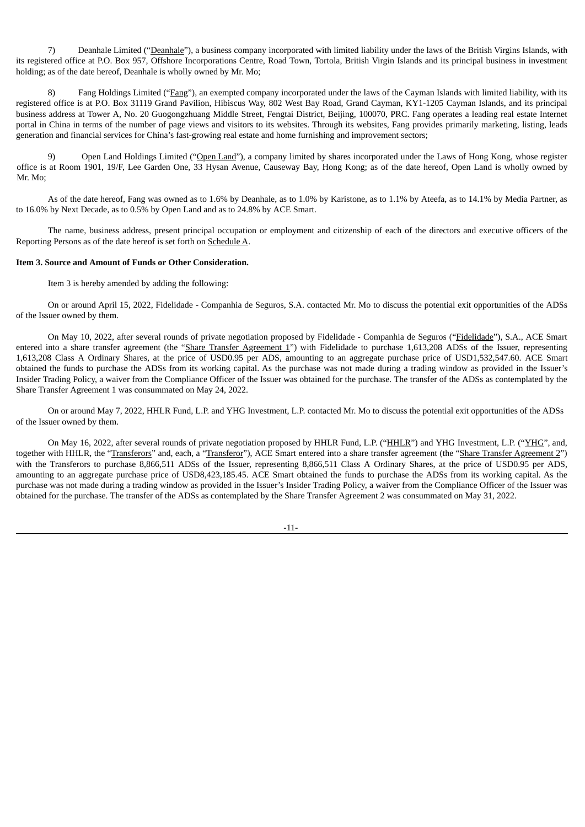7) Deanhale Limited ("Deanhale"), a business company incorporated with limited liability under the laws of the British Virgins Islands, with its registered office at P.O. Box 957, Offshore Incorporations Centre, Road Town, Tortola, British Virgin Islands and its principal business in investment holding; as of the date hereof, Deanhale is wholly owned by Mr. Mo;

8) Fang Holdings Limited ("Fang"), an exempted company incorporated under the laws of the Cayman Islands with limited liability, with its registered office is at P.O. Box 31119 Grand Pavilion, Hibiscus Way, 802 West Bay Road, Grand Cayman, KY1-1205 Cayman Islands, and its principal business address at Tower A, No. 20 Guogongzhuang Middle Street, Fengtai District, Beijing, 100070, PRC. Fang operates a leading real estate Internet portal in China in terms of the number of page views and visitors to its websites. Through its websites, Fang provides primarily marketing, listing, leads generation and financial services for China's fast-growing real estate and home furnishing and improvement sectors;

9) Open Land Holdings Limited ("Open Land"), a company limited by shares incorporated under the Laws of Hong Kong, whose register office is at Room 1901, 19/F, Lee Garden One, 33 Hysan Avenue, Causeway Bay, Hong Kong; as of the date hereof, Open Land is wholly owned by Mr. Mo;

As of the date hereof, Fang was owned as to 1.6% by Deanhale, as to 1.0% by Karistone, as to 1.1% by Ateefa, as to 14.1% by Media Partner, as to 16.0% by Next Decade, as to 0.5% by Open Land and as to 24.8% by ACE Smart.

The name, business address, present principal occupation or employment and citizenship of each of the directors and executive officers of the Reporting Persons as of the date hereof is set forth on Schedule A.

#### **Item 3. Source and Amount of Funds or Other Consideration.**

Item 3 is hereby amended by adding the following:

On or around April 15, 2022, Fidelidade - Companhia de Seguros, S.A. contacted Mr. Mo to discuss the potential exit opportunities of the ADSs of the Issuer owned by them.

On May 10, 2022, after several rounds of private negotiation proposed by Fidelidade - Companhia de Seguros ("Fidelidade"), S.A., ACE Smart entered into a share transfer agreement (the "Share Transfer Agreement 1") with Fidelidade to purchase 1,613,208 ADSs of the Issuer, representing 1,613,208 Class A Ordinary Shares, at the price of USD0.95 per ADS, amounting to an aggregate purchase price of USD1,532,547.60. ACE Smart obtained the funds to purchase the ADSs from its working capital. As the purchase was not made during a trading window as provided in the Issuer's Insider Trading Policy, a waiver from the Compliance Officer of the Issuer was obtained for the purchase. The transfer of the ADSs as contemplated by the Share Transfer Agreement 1 was consummated on May 24, 2022.

On or around May 7, 2022, HHLR Fund, L.P. and YHG Investment, L.P. contacted Mr. Mo to discuss the potential exit opportunities of the ADSs of the Issuer owned by them.

On May 16, 2022, after several rounds of private negotiation proposed by HHLR Fund, L.P. ("HHLR") and YHG Investment, L.P. ("YHG", and, together with HHLR, the "Transferors" and, each, a "Transferor"), ACE Smart entered into a share transfer agreement (the "Share Transfer Agreement 2") with the Transferors to purchase 8,866,511 ADSs of the Issuer, representing 8,866,511 Class A Ordinary Shares, at the price of USD0.95 per ADS, amounting to an aggregate purchase price of USD8,423,185.45. ACE Smart obtained the funds to purchase the ADSs from its working capital. As the purchase was not made during a trading window as provided in the Issuer's Insider Trading Policy, a waiver from the Compliance Officer of the Issuer was obtained for the purchase. The transfer of the ADSs as contemplated by the Share Transfer Agreement 2 was consummated on May 31, 2022.

-11-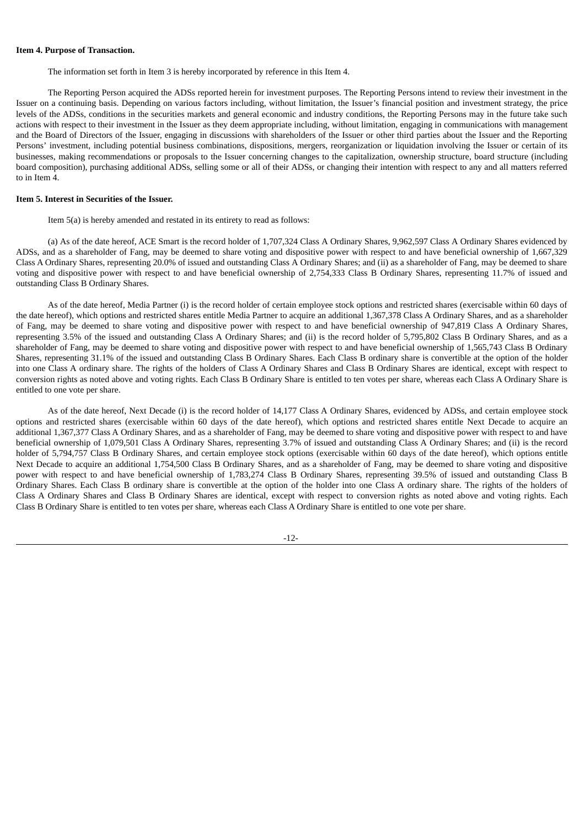#### **Item 4. Purpose of Transaction.**

The information set forth in Item 3 is hereby incorporated by reference in this Item 4.

The Reporting Person acquired the ADSs reported herein for investment purposes. The Reporting Persons intend to review their investment in the Issuer on a continuing basis. Depending on various factors including, without limitation, the Issuer's financial position and investment strategy, the price levels of the ADSs, conditions in the securities markets and general economic and industry conditions, the Reporting Persons may in the future take such actions with respect to their investment in the Issuer as they deem appropriate including, without limitation, engaging in communications with management and the Board of Directors of the Issuer, engaging in discussions with shareholders of the Issuer or other third parties about the Issuer and the Reporting Persons' investment, including potential business combinations, dispositions, mergers, reorganization or liquidation involving the Issuer or certain of its businesses, making recommendations or proposals to the Issuer concerning changes to the capitalization, ownership structure, board structure (including board composition), purchasing additional ADSs, selling some or all of their ADSs, or changing their intention with respect to any and all matters referred to in Item 4.

#### **Item 5. Interest in Securities of the Issuer.**

Item 5(a) is hereby amended and restated in its entirety to read as follows:

(a) As of the date hereof, ACE Smart is the record holder of 1,707,324 Class A Ordinary Shares, 9,962,597 Class A Ordinary Shares evidenced by ADSs, and as a shareholder of Fang, may be deemed to share voting and dispositive power with respect to and have beneficial ownership of 1,667,329 Class A Ordinary Shares, representing 20.0% of issued and outstanding Class A Ordinary Shares; and (ii) as a shareholder of Fang, may be deemed to share voting and dispositive power with respect to and have beneficial ownership of 2,754,333 Class B Ordinary Shares, representing 11.7% of issued and outstanding Class B Ordinary Shares.

As of the date hereof, Media Partner (i) is the record holder of certain employee stock options and restricted shares (exercisable within 60 days of the date hereof), which options and restricted shares entitle Media Partner to acquire an additional 1,367,378 Class A Ordinary Shares, and as a shareholder of Fang, may be deemed to share voting and dispositive power with respect to and have beneficial ownership of 947,819 Class A Ordinary Shares, representing 3.5% of the issued and outstanding Class A Ordinary Shares; and (ii) is the record holder of 5,795,802 Class B Ordinary Shares, and as a shareholder of Fang, may be deemed to share voting and dispositive power with respect to and have beneficial ownership of 1,565,743 Class B Ordinary Shares, representing 31.1% of the issued and outstanding Class B Ordinary Shares. Each Class B ordinary share is convertible at the option of the holder into one Class A ordinary share. The rights of the holders of Class A Ordinary Shares and Class B Ordinary Shares are identical, except with respect to conversion rights as noted above and voting rights. Each Class B Ordinary Share is entitled to ten votes per share, whereas each Class A Ordinary Share is entitled to one vote per share.

As of the date hereof, Next Decade (i) is the record holder of 14,177 Class A Ordinary Shares, evidenced by ADSs, and certain employee stock options and restricted shares (exercisable within 60 days of the date hereof), which options and restricted shares entitle Next Decade to acquire an additional 1,367,377 Class A Ordinary Shares, and as a shareholder of Fang, may be deemed to share voting and dispositive power with respect to and have beneficial ownership of 1,079,501 Class A Ordinary Shares, representing 3.7% of issued and outstanding Class A Ordinary Shares; and (ii) is the record holder of 5,794,757 Class B Ordinary Shares, and certain employee stock options (exercisable within 60 days of the date hereof), which options entitle Next Decade to acquire an additional 1,754,500 Class B Ordinary Shares, and as a shareholder of Fang, may be deemed to share voting and dispositive power with respect to and have beneficial ownership of 1,783,274 Class B Ordinary Shares, representing 39.5% of issued and outstanding Class B Ordinary Shares. Each Class B ordinary share is convertible at the option of the holder into one Class A ordinary share. The rights of the holders of Class A Ordinary Shares and Class B Ordinary Shares are identical, except with respect to conversion rights as noted above and voting rights. Each Class B Ordinary Share is entitled to ten votes per share, whereas each Class A Ordinary Share is entitled to one vote per share.

-12-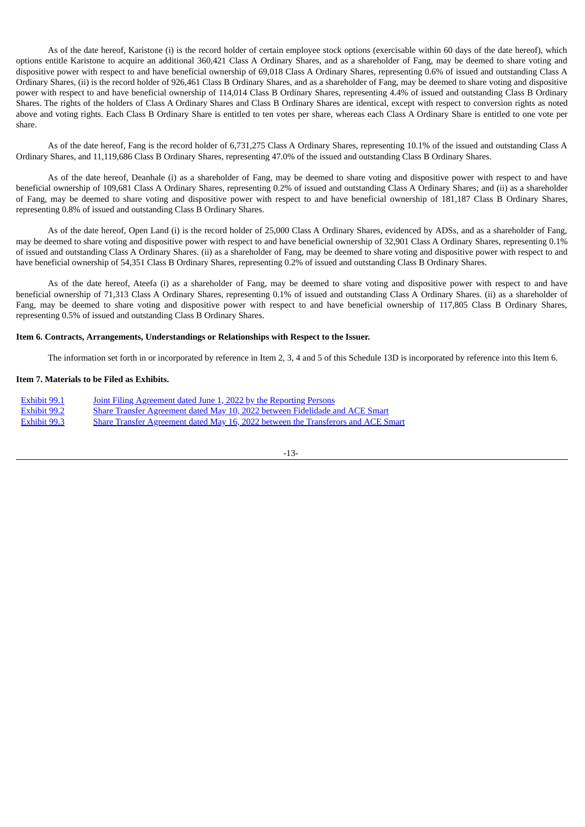As of the date hereof, Karistone (i) is the record holder of certain employee stock options (exercisable within 60 days of the date hereof), which options entitle Karistone to acquire an additional 360,421 Class A Ordinary Shares, and as a shareholder of Fang, may be deemed to share voting and dispositive power with respect to and have beneficial ownership of 69,018 Class A Ordinary Shares, representing 0.6% of issued and outstanding Class A Ordinary Shares, (ii) is the record holder of 926,461 Class B Ordinary Shares, and as a shareholder of Fang, may be deemed to share voting and dispositive power with respect to and have beneficial ownership of 114,014 Class B Ordinary Shares, representing 4.4% of issued and outstanding Class B Ordinary Shares. The rights of the holders of Class A Ordinary Shares and Class B Ordinary Shares are identical, except with respect to conversion rights as noted above and voting rights. Each Class B Ordinary Share is entitled to ten votes per share, whereas each Class A Ordinary Share is entitled to one vote per share.

As of the date hereof, Fang is the record holder of 6,731,275 Class A Ordinary Shares, representing 10.1% of the issued and outstanding Class A Ordinary Shares, and 11,119,686 Class B Ordinary Shares, representing 47.0% of the issued and outstanding Class B Ordinary Shares.

As of the date hereof, Deanhale (i) as a shareholder of Fang, may be deemed to share voting and dispositive power with respect to and have beneficial ownership of 109,681 Class A Ordinary Shares, representing 0.2% of issued and outstanding Class A Ordinary Shares; and (ii) as a shareholder of Fang, may be deemed to share voting and dispositive power with respect to and have beneficial ownership of 181,187 Class B Ordinary Shares, representing 0.8% of issued and outstanding Class B Ordinary Shares.

As of the date hereof, Open Land (i) is the record holder of 25,000 Class A Ordinary Shares, evidenced by ADSs, and as a shareholder of Fang, may be deemed to share voting and dispositive power with respect to and have beneficial ownership of 32,901 Class A Ordinary Shares, representing 0.1% of issued and outstanding Class A Ordinary Shares. (ii) as a shareholder of Fang, may be deemed to share voting and dispositive power with respect to and have beneficial ownership of 54,351 Class B Ordinary Shares, representing 0.2% of issued and outstanding Class B Ordinary Shares.

As of the date hereof, Ateefa (i) as a shareholder of Fang, may be deemed to share voting and dispositive power with respect to and have beneficial ownership of 71,313 Class A Ordinary Shares, representing 0.1% of issued and outstanding Class A Ordinary Shares. (ii) as a shareholder of Fang, may be deemed to share voting and dispositive power with respect to and have beneficial ownership of 117,805 Class B Ordinary Shares, representing 0.5% of issued and outstanding Class B Ordinary Shares.

#### **Item 6. Contracts, Arrangements, Understandings or Relationships with Respect to the Issuer.**

The information set forth in or incorporated by reference in Item 2, 3, 4 and 5 of this Schedule 13D is incorporated by reference into this Item 6.

#### **Item 7. Materials to be Filed as Exhibits.**

| Exhibit 99.1 | Joint Filing Agreement dated June 1, 2022 by the Reporting Persons                       |
|--------------|------------------------------------------------------------------------------------------|
| Exhibit 99.2 | Share Transfer Agreement dated May 10, 2022 between Fidelidade and ACE Smart             |
| Exhibit 99.3 | <b>Share Transfer Agreement dated May 16, 2022 between the Transferors and ACE Smart</b> |

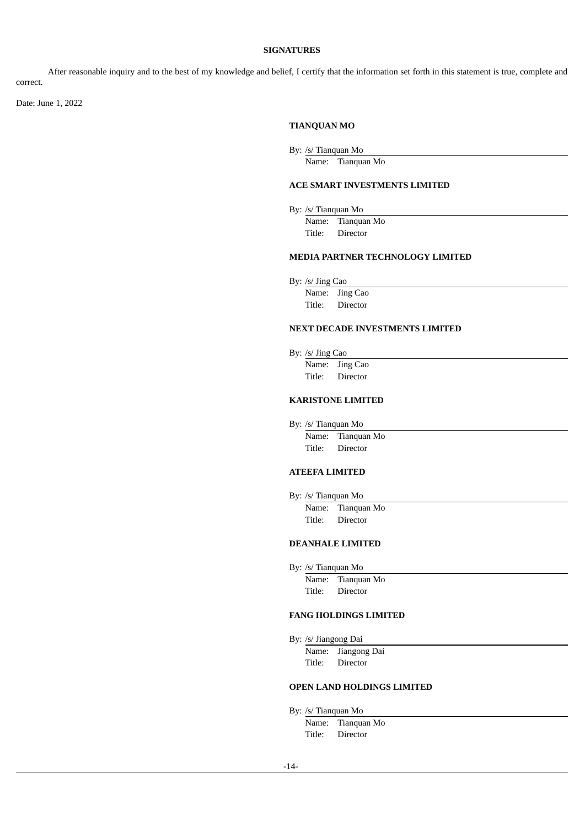### **SIGNATURES**

After reasonable inquiry and to the best of my knowledge and belief, I certify that the information set forth in this statement is true, complete and correct.

Date: June 1, 2022

### **TIANQUAN MO**

By: /s/ Tianquan Mo

Name: Tianquan Mo

### **ACE SMART INVESTMENTS LIMITED**

By: /s/ Tianquan Mo

Name: Tianquan Mo Title: Director

### **MEDIA PARTNER TECHNOLOGY LIMITED**

By: /s/ Jing Cao

Name: Jing Cao Title: Director

# **NEXT DECADE INVESTMENTS LIMITED**

By: /s/ Jing Cao

Name: Jing Cao Title: Director

# **KARISTONE LIMITED**

By: /s/ Tianquan Mo

Name: Tianquan Mo Title: Director

# **ATEEFA LIMITED**

By: /s/ Tianquan Mo

Name: Tianquan Mo Title: Director

### **DEANHALE LIMITED**

By: /s/ Tianquan Mo

Name: Tianquan Mo Title: Director

#### **FANG HOLDINGS LIMITED**

By: /s/ Jiangong Dai

Name: Jiangong Dai Title: Director

### **OPEN LAND HOLDINGS LIMITED**

By: /s/ Tianquan Mo

Name: Tianquan Mo Title: Director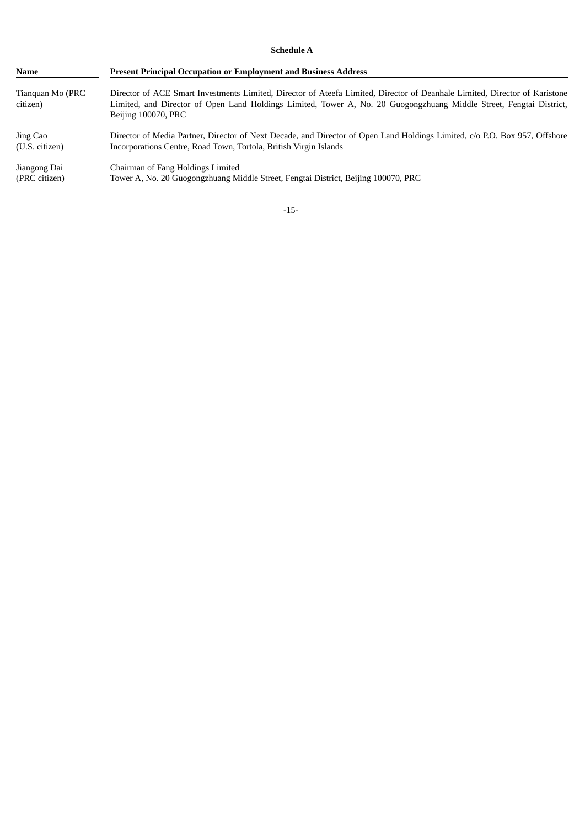## **Schedule A**

| <b>Name</b>                  | <b>Present Principal Occupation or Employment and Business Address</b>                                                                                                                                                                                                   |  |
|------------------------------|--------------------------------------------------------------------------------------------------------------------------------------------------------------------------------------------------------------------------------------------------------------------------|--|
| Tianquan Mo (PRC<br>citizen) | Director of ACE Smart Investments Limited, Director of Ateefa Limited, Director of Deanhale Limited, Director of Karistone<br>Limited, and Director of Open Land Holdings Limited, Tower A, No. 20 Guogongzhuang Middle Street, Fengtai District,<br>Beijing 100070, PRC |  |
| Jing Cao                     | Director of Media Partner, Director of Next Decade, and Director of Open Land Holdings Limited, c/o P.O. Box 957, Offshore                                                                                                                                               |  |
| (U.S. citizen)               | Incorporations Centre, Road Town, Tortola, British Virgin Islands                                                                                                                                                                                                        |  |
| Jiangong Dai                 | Chairman of Fang Holdings Limited                                                                                                                                                                                                                                        |  |
| (PRC citizen)                | Tower A, No. 20 Guogongzhuang Middle Street, Fengtai District, Beijing 100070, PRC                                                                                                                                                                                       |  |

-15-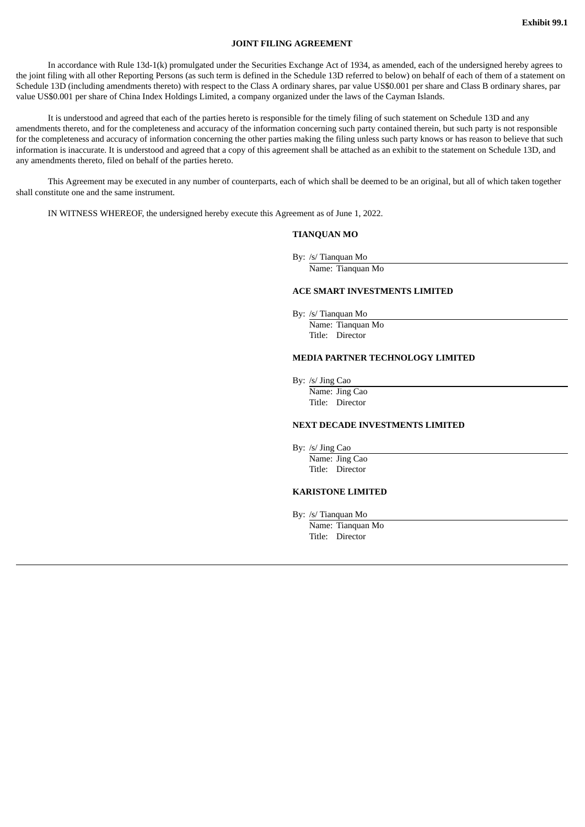#### **JOINT FILING AGREEMENT**

<span id="page-16-0"></span>In accordance with Rule 13d-1(k) promulgated under the Securities Exchange Act of 1934, as amended, each of the undersigned hereby agrees to the joint filing with all other Reporting Persons (as such term is defined in the Schedule 13D referred to below) on behalf of each of them of a statement on Schedule 13D (including amendments thereto) with respect to the Class A ordinary shares, par value US\$0.001 per share and Class B ordinary shares, par value US\$0.001 per share of China Index Holdings Limited, a company organized under the laws of the Cayman Islands.

It is understood and agreed that each of the parties hereto is responsible for the timely filing of such statement on Schedule 13D and any amendments thereto, and for the completeness and accuracy of the information concerning such party contained therein, but such party is not responsible for the completeness and accuracy of information concerning the other parties making the filing unless such party knows or has reason to believe that such information is inaccurate. It is understood and agreed that a copy of this agreement shall be attached as an exhibit to the statement on Schedule 13D, and any amendments thereto, filed on behalf of the parties hereto.

This Agreement may be executed in any number of counterparts, each of which shall be deemed to be an original, but all of which taken together shall constitute one and the same instrument.

IN WITNESS WHEREOF, the undersigned hereby execute this Agreement as of June 1, 2022.

#### **TIANQUAN MO**

By: /s/ Tianquan Mo

Name: Tianquan Mo

#### **ACE SMART INVESTMENTS LIMITED**

By: /s/ Tianquan Mo

Name: Tianquan Mo Title: Director

#### **MEDIA PARTNER TECHNOLOGY LIMITED**

By: /s/ Jing Cao

Name: Jing Cao Title: Director

#### **NEXT DECADE INVESTMENTS LIMITED**

By: /s/ Jing Cao

Name: Jing Cao Title: Director

### **KARISTONE LIMITED**

By: /s/ Tianquan Mo

Name: Tianquan Mo Title: Director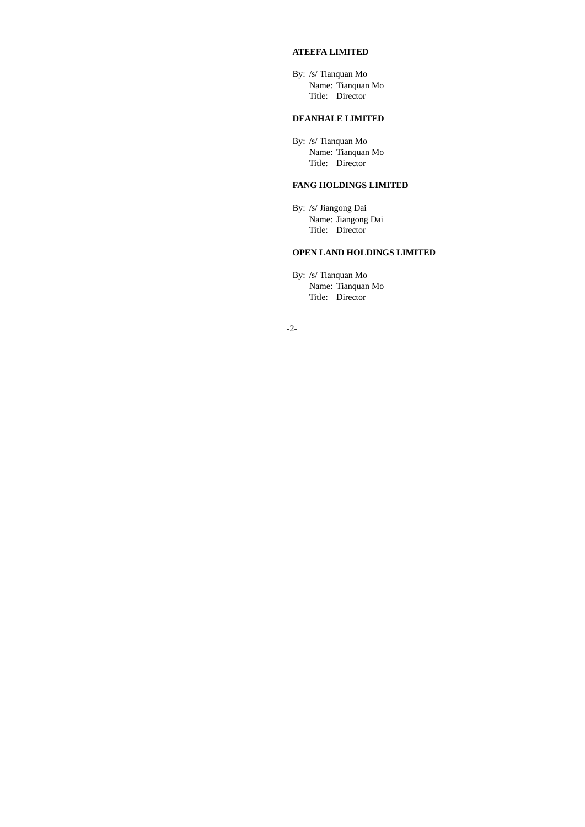# **ATEEFA LIMITED**

By: /s/ Tianquan Mo Name: Tianquan Mo Title: Director

### **DEANHALE LIMITED**

By: /s/ Tianquan Mo

Name: Tianquan Mo Title: Director

#### **FANG HOLDINGS LIMITED**

By: /s/ Jiangong Dai

Name: Jiangong Dai Title: Director

# **OPEN LAND HOLDINGS LIMITED**

By: /s/ Tianquan Mo

Name: Tianquan Mo Title: Director

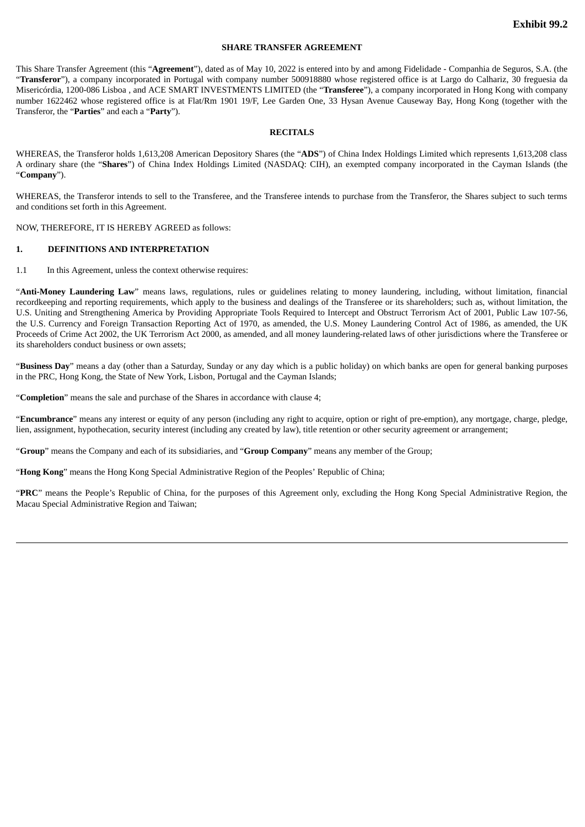#### **SHARE TRANSFER AGREEMENT**

<span id="page-18-0"></span>This Share Transfer Agreement (this "**Agreement**"), dated as of May 10, 2022 is entered into by and among Fidelidade - Companhia de Seguros, S.A. (the "**Transferor**"), a company incorporated in Portugal with company number 500918880 whose registered office is at Largo do Calhariz, 30 freguesia da Misericórdia, 1200-086 Lisboa , and ACE SMART INVESTMENTS LIMITED (the "**Transferee**"), a company incorporated in Hong Kong with company number 1622462 whose registered office is at Flat/Rm 1901 19/F, Lee Garden One, 33 Hysan Avenue Causeway Bay, Hong Kong (together with the Transferor, the "**Parties**" and each a "**Party**").

#### **RECITALS**

WHEREAS, the Transferor holds 1,613,208 American Depository Shares (the "**ADS**") of China Index Holdings Limited which represents 1,613,208 class A ordinary share (the "**Shares**") of China Index Holdings Limited (NASDAQ: CIH), an exempted company incorporated in the Cayman Islands (the "**Company**").

WHEREAS, the Transferor intends to sell to the Transferee, and the Transferee intends to purchase from the Transferor, the Shares subject to such terms and conditions set forth in this Agreement.

NOW, THEREFORE, IT IS HEREBY AGREED as follows:

#### **1. DEFINITIONS AND INTERPRETATION**

1.1 In this Agreement, unless the context otherwise requires:

"**Anti-Money Laundering Law**" means laws, regulations, rules or guidelines relating to money laundering, including, without limitation, financial recordkeeping and reporting requirements, which apply to the business and dealings of the Transferee or its shareholders; such as, without limitation, the U.S. Uniting and Strengthening America by Providing Appropriate Tools Required to Intercept and Obstruct Terrorism Act of 2001, Public Law 107-56, the U.S. Currency and Foreign Transaction Reporting Act of 1970, as amended, the U.S. Money Laundering Control Act of 1986, as amended, the UK Proceeds of Crime Act 2002, the UK Terrorism Act 2000, as amended, and all money laundering-related laws of other jurisdictions where the Transferee or its shareholders conduct business or own assets;

"**Business Day**" means a day (other than a Saturday, Sunday or any day which is a public holiday) on which banks are open for general banking purposes in the PRC, Hong Kong, the State of New York, Lisbon, Portugal and the Cayman Islands;

"**Completion**" means the sale and purchase of the Shares in accordance with clause 4;

"**Encumbrance**" means any interest or equity of any person (including any right to acquire, option or right of pre-emption), any mortgage, charge, pledge, lien, assignment, hypothecation, security interest (including any created by law), title retention or other security agreement or arrangement;

"**Group**" means the Company and each of its subsidiaries, and "**Group Company**" means any member of the Group;

"**Hong Kong**" means the Hong Kong Special Administrative Region of the Peoples' Republic of China;

"**PRC**" means the People's Republic of China, for the purposes of this Agreement only, excluding the Hong Kong Special Administrative Region, the Macau Special Administrative Region and Taiwan;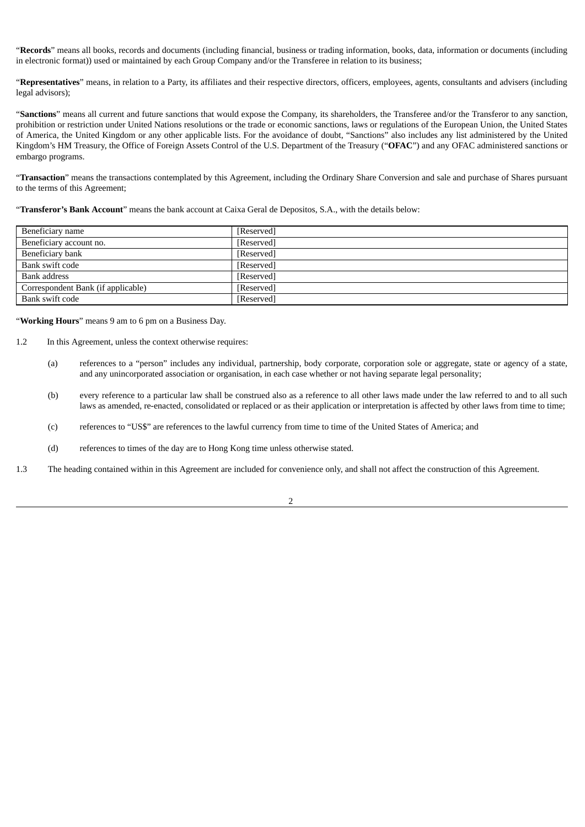"**Records**" means all books, records and documents (including financial, business or trading information, books, data, information or documents (including in electronic format)) used or maintained by each Group Company and/or the Transferee in relation to its business;

"**Representatives**" means, in relation to a Party, its affiliates and their respective directors, officers, employees, agents, consultants and advisers (including legal advisors);

"**Sanctions**" means all current and future sanctions that would expose the Company, its shareholders, the Transferee and/or the Transferor to any sanction, prohibition or restriction under United Nations resolutions or the trade or economic sanctions, laws or regulations of the European Union, the United States of America, the United Kingdom or any other applicable lists. For the avoidance of doubt, "Sanctions" also includes any list administered by the United Kingdom's HM Treasury, the Office of Foreign Assets Control of the U.S. Department of the Treasury ("**OFAC**") and any OFAC administered sanctions or embargo programs.

"**Transaction**" means the transactions contemplated by this Agreement, including the Ordinary Share Conversion and sale and purchase of Shares pursuant to the terms of this Agreement;

"**Transferor's Bank Account**" means the bank account at Caixa Geral de Depositos, S.A., with the details below:

| Beneficiary name                   | [Reserved] |
|------------------------------------|------------|
| Beneficiary account no.            | [Reserved] |
| Beneficiary bank                   | [Reserved] |
| Bank swift code                    | [Reserved] |
| Bank address                       | [Reserved] |
| Correspondent Bank (if applicable) | [Reserved] |
| Bank swift code                    | [Reserved] |

"**Working Hours**" means 9 am to 6 pm on a Business Day.

- 1.2 In this Agreement, unless the context otherwise requires:
	- (a) references to a "person" includes any individual, partnership, body corporate, corporation sole or aggregate, state or agency of a state, and any unincorporated association or organisation, in each case whether or not having separate legal personality;
	- (b) every reference to a particular law shall be construed also as a reference to all other laws made under the law referred to and to all such laws as amended, re-enacted, consolidated or replaced or as their application or interpretation is affected by other laws from time to time;
	- (c) references to "US\$" are references to the lawful currency from time to time of the United States of America; and
	- (d) references to times of the day are to Hong Kong time unless otherwise stated.
- 1.3 The heading contained within in this Agreement are included for convenience only, and shall not affect the construction of this Agreement.

2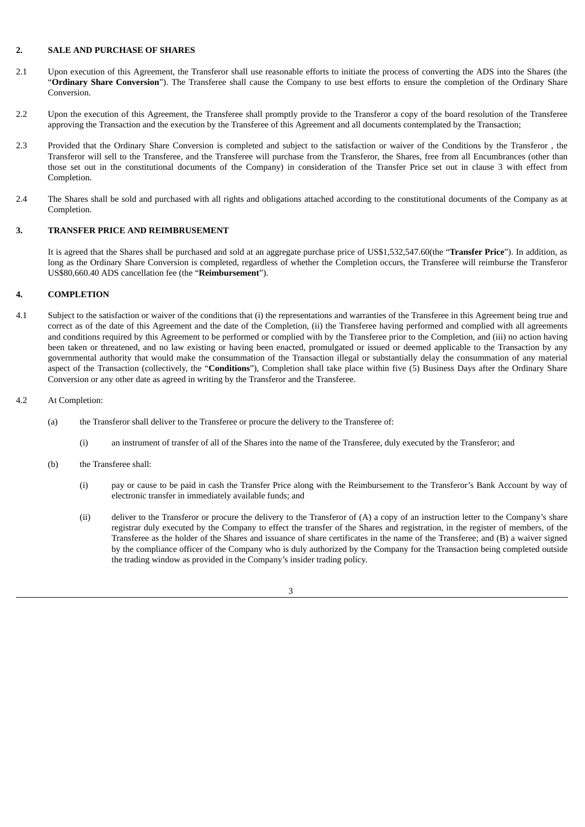#### **2. SALE AND PURCHASE OF SHARES**

- 2.1 Upon execution of this Agreement, the Transferor shall use reasonable efforts to initiate the process of converting the ADS into the Shares (the "**Ordinary Share Conversion**"). The Transferee shall cause the Company to use best efforts to ensure the completion of the Ordinary Share Conversion.
- 2.2 Upon the execution of this Agreement, the Transferee shall promptly provide to the Transferor a copy of the board resolution of the Transferee approving the Transaction and the execution by the Transferee of this Agreement and all documents contemplated by the Transaction;
- 2.3 Provided that the Ordinary Share Conversion is completed and subject to the satisfaction or waiver of the Conditions by the Transferor , the Transferor will sell to the Transferee, and the Transferee will purchase from the Transferor, the Shares, free from all Encumbrances (other than those set out in the constitutional documents of the Company) in consideration of the Transfer Price set out in clause 3 with effect from Completion.
- 2.4 The Shares shall be sold and purchased with all rights and obligations attached according to the constitutional documents of the Company as at Completion.

## **3. TRANSFER PRICE AND REIMBRUSEMENT**

It is agreed that the Shares shall be purchased and sold at an aggregate purchase price of US\$1,532,547.60(the "**Transfer Price**"). In addition, as long as the Ordinary Share Conversion is completed, regardless of whether the Completion occurs, the Transferee will reimburse the Transferor US\$80,660.40 ADS cancellation fee (the "**Reimbursement**").

#### **4. COMPLETION**

- 4.1 Subject to the satisfaction or waiver of the conditions that (i) the representations and warranties of the Transferee in this Agreement being true and correct as of the date of this Agreement and the date of the Completion, (ii) the Transferee having performed and complied with all agreements and conditions required by this Agreement to be performed or complied with by the Transferee prior to the Completion, and (iii) no action having been taken or threatened, and no law existing or having been enacted, promulgated or issued or deemed applicable to the Transaction by any governmental authority that would make the consummation of the Transaction illegal or substantially delay the consummation of any material aspect of the Transaction (collectively, the "**Conditions**"), Completion shall take place within five (5) Business Days after the Ordinary Share Conversion or any other date as agreed in writing by the Transferor and the Transferee.
- 4.2 At Completion:
	- (a) the Transferor shall deliver to the Transferee or procure the delivery to the Transferee of:
		- (i) an instrument of transfer of all of the Shares into the name of the Transferee, duly executed by the Transferor; and
	- (b) the Transferee shall:
		- (i) pay or cause to be paid in cash the Transfer Price along with the Reimbursement to the Transferor's Bank Account by way of electronic transfer in immediately available funds; and
		- (ii) deliver to the Transferor or procure the delivery to the Transferor of (A) a copy of an instruction letter to the Company's share registrar duly executed by the Company to effect the transfer of the Shares and registration, in the register of members, of the Transferee as the holder of the Shares and issuance of share certificates in the name of the Transferee; and (B) a waiver signed by the compliance officer of the Company who is duly authorized by the Company for the Transaction being completed outside the trading window as provided in the Company's insider trading policy.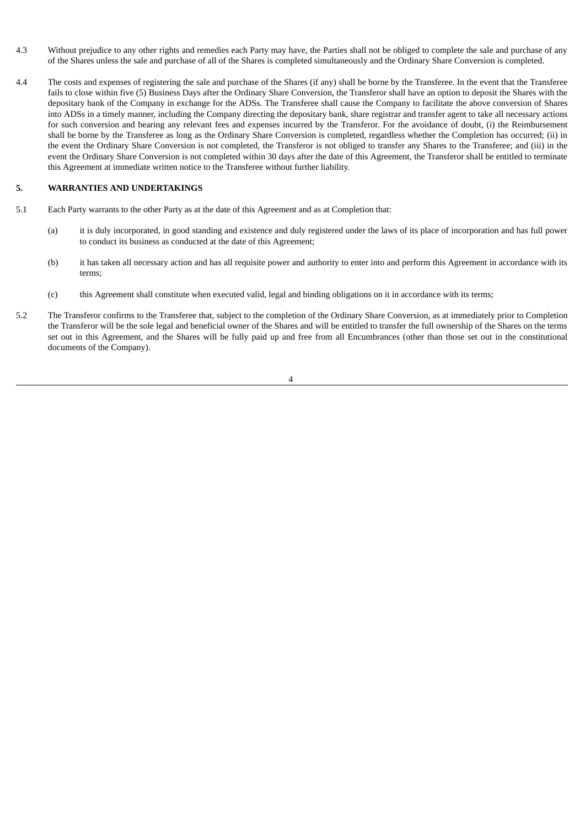- 4.3 Without prejudice to any other rights and remedies each Party may have, the Parties shall not be obliged to complete the sale and purchase of any of the Shares unless the sale and purchase of all of the Shares is completed simultaneously and the Ordinary Share Conversion is completed.
- 4.4 The costs and expenses of registering the sale and purchase of the Shares (if any) shall be borne by the Transferee. In the event that the Transferee fails to close within five (5) Business Days after the Ordinary Share Conversion, the Transferor shall have an option to deposit the Shares with the depositary bank of the Company in exchange for the ADSs. The Transferee shall cause the Company to facilitate the above conversion of Shares into ADSs in a timely manner, including the Company directing the depositary bank, share registrar and transfer agent to take all necessary actions for such conversion and bearing any relevant fees and expenses incurred by the Transferor. For the avoidance of doubt, (i) the Reimbursement shall be borne by the Transferee as long as the Ordinary Share Conversion is completed, regardless whether the Completion has occurred; (ii) in the event the Ordinary Share Conversion is not completed, the Transferor is not obliged to transfer any Shares to the Transferee; and (iii) in the event the Ordinary Share Conversion is not completed within 30 days after the date of this Agreement, the Transferor shall be entitled to terminate this Agreement at immediate written notice to the Transferee without further liability.

### **5. WARRANTIES AND UNDERTAKINGS**

- 5.1 Each Party warrants to the other Party as at the date of this Agreement and as at Completion that:
	- (a) it is duly incorporated, in good standing and existence and duly registered under the laws of its place of incorporation and has full power to conduct its business as conducted at the date of this Agreement;
	- (b) it has taken all necessary action and has all requisite power and authority to enter into and perform this Agreement in accordance with its terms;
	- (c) this Agreement shall constitute when executed valid, legal and binding obligations on it in accordance with its terms;
- 5.2 The Transferor confirms to the Transferee that, subject to the completion of the Ordinary Share Conversion, as at immediately prior to Completion the Transferor will be the sole legal and beneficial owner of the Shares and will be entitled to transfer the full ownership of the Shares on the terms set out in this Agreement, and the Shares will be fully paid up and free from all Encumbrances (other than those set out in the constitutional documents of the Company).

4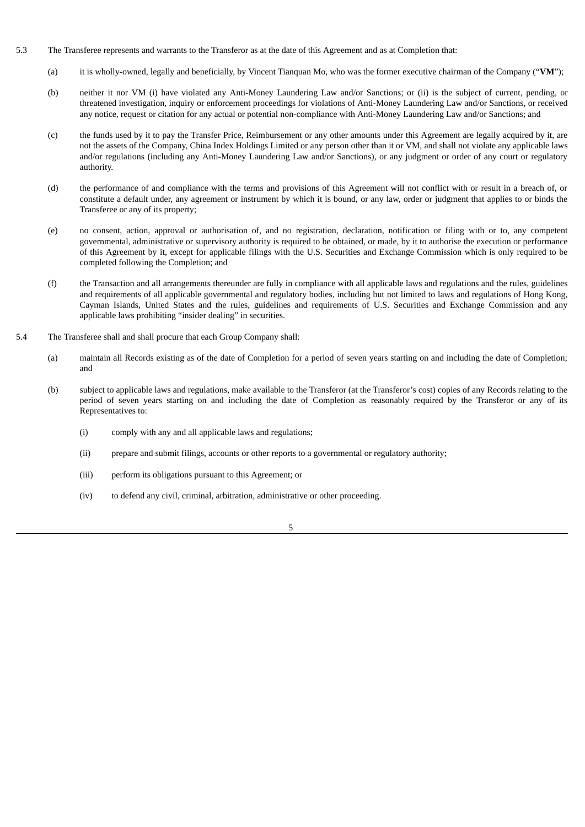- 5.3 The Transferee represents and warrants to the Transferor as at the date of this Agreement and as at Completion that:
	- (a) it is wholly-owned, legally and beneficially, by Vincent Tianquan Mo, who was the former executive chairman of the Company ("**VM**");
	- (b) neither it nor VM (i) have violated any Anti-Money Laundering Law and/or Sanctions; or (ii) is the subject of current, pending, or threatened investigation, inquiry or enforcement proceedings for violations of Anti-Money Laundering Law and/or Sanctions, or received any notice, request or citation for any actual or potential non-compliance with Anti-Money Laundering Law and/or Sanctions; and
	- (c) the funds used by it to pay the Transfer Price, Reimbursement or any other amounts under this Agreement are legally acquired by it, are not the assets of the Company, China Index Holdings Limited or any person other than it or VM, and shall not violate any applicable laws and/or regulations (including any Anti-Money Laundering Law and/or Sanctions), or any judgment or order of any court or regulatory authority.
	- (d) the performance of and compliance with the terms and provisions of this Agreement will not conflict with or result in a breach of, or constitute a default under, any agreement or instrument by which it is bound, or any law, order or judgment that applies to or binds the Transferee or any of its property;
	- (e) no consent, action, approval or authorisation of, and no registration, declaration, notification or filing with or to, any competent governmental, administrative or supervisory authority is required to be obtained, or made, by it to authorise the execution or performance of this Agreement by it, except for applicable filings with the U.S. Securities and Exchange Commission which is only required to be completed following the Completion; and
	- (f) the Transaction and all arrangements thereunder are fully in compliance with all applicable laws and regulations and the rules, guidelines and requirements of all applicable governmental and regulatory bodies, including but not limited to laws and regulations of Hong Kong, Cayman Islands, United States and the rules, guidelines and requirements of U.S. Securities and Exchange Commission and any applicable laws prohibiting "insider dealing" in securities.
- 5.4 The Transferee shall and shall procure that each Group Company shall:
	- (a) maintain all Records existing as of the date of Completion for a period of seven years starting on and including the date of Completion; and
	- (b) subject to applicable laws and regulations, make available to the Transferor (at the Transferor's cost) copies of any Records relating to the period of seven years starting on and including the date of Completion as reasonably required by the Transferor or any of its Representatives to:
		- (i) comply with any and all applicable laws and regulations;
		- (ii) prepare and submit filings, accounts or other reports to a governmental or regulatory authority;
		- (iii) perform its obligations pursuant to this Agreement; or
		- (iv) to defend any civil, criminal, arbitration, administrative or other proceeding.
			- 5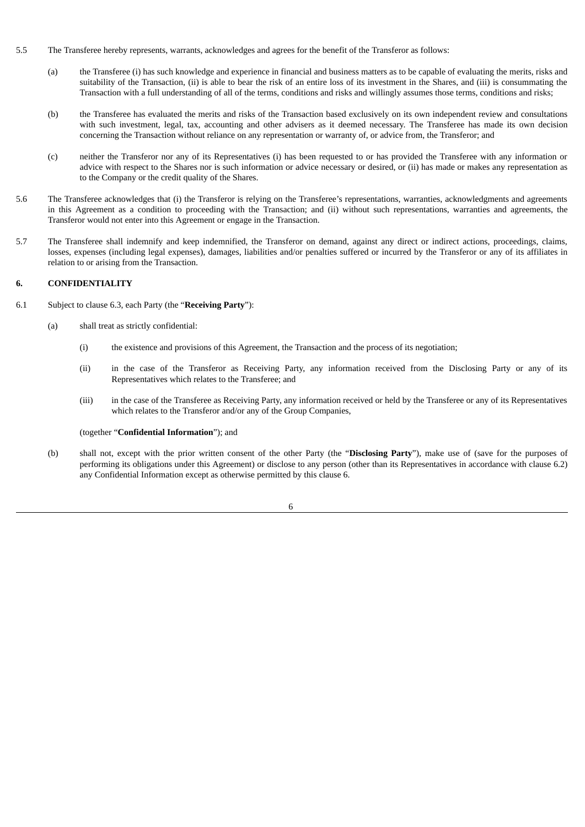- 5.5 The Transferee hereby represents, warrants, acknowledges and agrees for the benefit of the Transferor as follows:
	- (a) the Transferee (i) has such knowledge and experience in financial and business matters as to be capable of evaluating the merits, risks and suitability of the Transaction, (ii) is able to bear the risk of an entire loss of its investment in the Shares, and (iii) is consummating the Transaction with a full understanding of all of the terms, conditions and risks and willingly assumes those terms, conditions and risks;
	- (b) the Transferee has evaluated the merits and risks of the Transaction based exclusively on its own independent review and consultations with such investment, legal, tax, accounting and other advisers as it deemed necessary. The Transferee has made its own decision concerning the Transaction without reliance on any representation or warranty of, or advice from, the Transferor; and
	- (c) neither the Transferor nor any of its Representatives (i) has been requested to or has provided the Transferee with any information or advice with respect to the Shares nor is such information or advice necessary or desired, or (ii) has made or makes any representation as to the Company or the credit quality of the Shares.
- 5.6 The Transferee acknowledges that (i) the Transferor is relying on the Transferee's representations, warranties, acknowledgments and agreements in this Agreement as a condition to proceeding with the Transaction; and (ii) without such representations, warranties and agreements, the Transferor would not enter into this Agreement or engage in the Transaction.
- 5.7 The Transferee shall indemnify and keep indemnified, the Transferor on demand, against any direct or indirect actions, proceedings, claims, losses, expenses (including legal expenses), damages, liabilities and/or penalties suffered or incurred by the Transferor or any of its affiliates in relation to or arising from the Transaction.

# **6. CONFIDENTIALITY**

- 6.1 Subject to clause 6.3, each Party (the "**Receiving Party**"):
	- (a) shall treat as strictly confidential:
		- (i) the existence and provisions of this Agreement, the Transaction and the process of its negotiation;
		- (ii) in the case of the Transferor as Receiving Party, any information received from the Disclosing Party or any of its Representatives which relates to the Transferee; and
		- (iii) in the case of the Transferee as Receiving Party, any information received or held by the Transferee or any of its Representatives which relates to the Transferor and/or any of the Group Companies,

#### (together "**Confidential Information**"); and

(b) shall not, except with the prior written consent of the other Party (the "**Disclosing Party**"), make use of (save for the purposes of performing its obligations under this Agreement) or disclose to any person (other than its Representatives in accordance with clause 6.2) any Confidential Information except as otherwise permitted by this clause 6.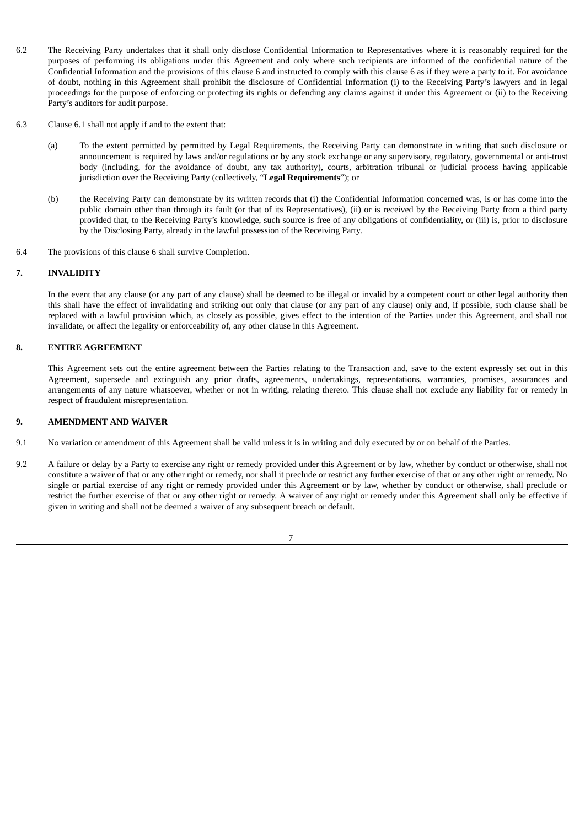- 6.2 The Receiving Party undertakes that it shall only disclose Confidential Information to Representatives where it is reasonably required for the purposes of performing its obligations under this Agreement and only where such recipients are informed of the confidential nature of the Confidential Information and the provisions of this clause 6 and instructed to comply with this clause 6 as if they were a party to it. For avoidance of doubt, nothing in this Agreement shall prohibit the disclosure of Confidential Information (i) to the Receiving Party's lawyers and in legal proceedings for the purpose of enforcing or protecting its rights or defending any claims against it under this Agreement or (ii) to the Receiving Party's auditors for audit purpose.
- 6.3 Clause 6.1 shall not apply if and to the extent that:
	- (a) To the extent permitted by permitted by Legal Requirements, the Receiving Party can demonstrate in writing that such disclosure or announcement is required by laws and/or regulations or by any stock exchange or any supervisory, regulatory, governmental or anti-trust body (including, for the avoidance of doubt, any tax authority), courts, arbitration tribunal or judicial process having applicable jurisdiction over the Receiving Party (collectively, "**Legal Requirements**"); or
	- (b) the Receiving Party can demonstrate by its written records that (i) the Confidential Information concerned was, is or has come into the public domain other than through its fault (or that of its Representatives), (ii) or is received by the Receiving Party from a third party provided that, to the Receiving Party's knowledge, such source is free of any obligations of confidentiality, or (iii) is, prior to disclosure by the Disclosing Party, already in the lawful possession of the Receiving Party.
- 6.4 The provisions of this clause 6 shall survive Completion.

### **7. INVALIDITY**

In the event that any clause (or any part of any clause) shall be deemed to be illegal or invalid by a competent court or other legal authority then this shall have the effect of invalidating and striking out only that clause (or any part of any clause) only and, if possible, such clause shall be replaced with a lawful provision which, as closely as possible, gives effect to the intention of the Parties under this Agreement, and shall not invalidate, or affect the legality or enforceability of, any other clause in this Agreement.

### **8. ENTIRE AGREEMENT**

This Agreement sets out the entire agreement between the Parties relating to the Transaction and, save to the extent expressly set out in this Agreement, supersede and extinguish any prior drafts, agreements, undertakings, representations, warranties, promises, assurances and arrangements of any nature whatsoever, whether or not in writing, relating thereto. This clause shall not exclude any liability for or remedy in respect of fraudulent misrepresentation.

#### **9. AMENDMENT AND WAIVER**

- 9.1 No variation or amendment of this Agreement shall be valid unless it is in writing and duly executed by or on behalf of the Parties.
- 9.2 A failure or delay by a Party to exercise any right or remedy provided under this Agreement or by law, whether by conduct or otherwise, shall not constitute a waiver of that or any other right or remedy, nor shall it preclude or restrict any further exercise of that or any other right or remedy. No single or partial exercise of any right or remedy provided under this Agreement or by law, whether by conduct or otherwise, shall preclude or restrict the further exercise of that or any other right or remedy. A waiver of any right or remedy under this Agreement shall only be effective if given in writing and shall not be deemed a waiver of any subsequent breach or default.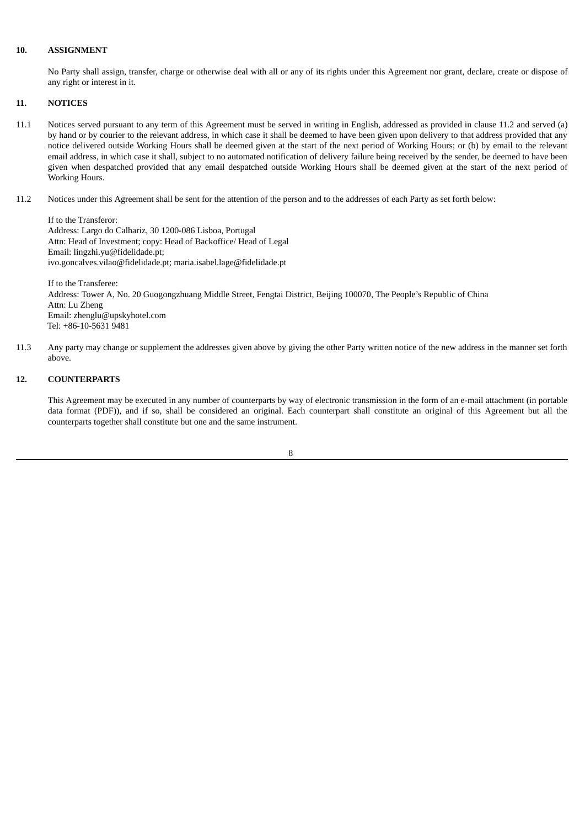#### **10. ASSIGNMENT**

No Party shall assign, transfer, charge or otherwise deal with all or any of its rights under this Agreement nor grant, declare, create or dispose of any right or interest in it.

### **11. NOTICES**

- 11.1 Notices served pursuant to any term of this Agreement must be served in writing in English, addressed as provided in clause 11.2 and served (a) by hand or by courier to the relevant address, in which case it shall be deemed to have been given upon delivery to that address provided that any notice delivered outside Working Hours shall be deemed given at the start of the next period of Working Hours; or (b) by email to the relevant email address, in which case it shall, subject to no automated notification of delivery failure being received by the sender, be deemed to have been given when despatched provided that any email despatched outside Working Hours shall be deemed given at the start of the next period of Working Hours.
- 11.2 Notices under this Agreement shall be sent for the attention of the person and to the addresses of each Party as set forth below:

If to the Transferor: Address: Largo do Calhariz, 30 1200-086 Lisboa, Portugal Attn: Head of Investment; copy: Head of Backoffice/ Head of Legal Email: lingzhi.yu@fidelidade.pt; ivo.goncalves.vilao@fidelidade.pt; maria.isabel.lage@fidelidade.pt

If to the Transferee: Address: Tower A, No. 20 Guogongzhuang Middle Street, Fengtai District, Beijing 100070, The People's Republic of China Attn: Lu Zheng Email: zhenglu@upskyhotel.com Tel: +86-10-5631 9481

11.3 Any party may change or supplement the addresses given above by giving the other Party written notice of the new address in the manner set forth above.

#### **12. COUNTERPARTS**

This Agreement may be executed in any number of counterparts by way of electronic transmission in the form of an e-mail attachment (in portable data format (PDF)), and if so, shall be considered an original. Each counterpart shall constitute an original of this Agreement but all the counterparts together shall constitute but one and the same instrument.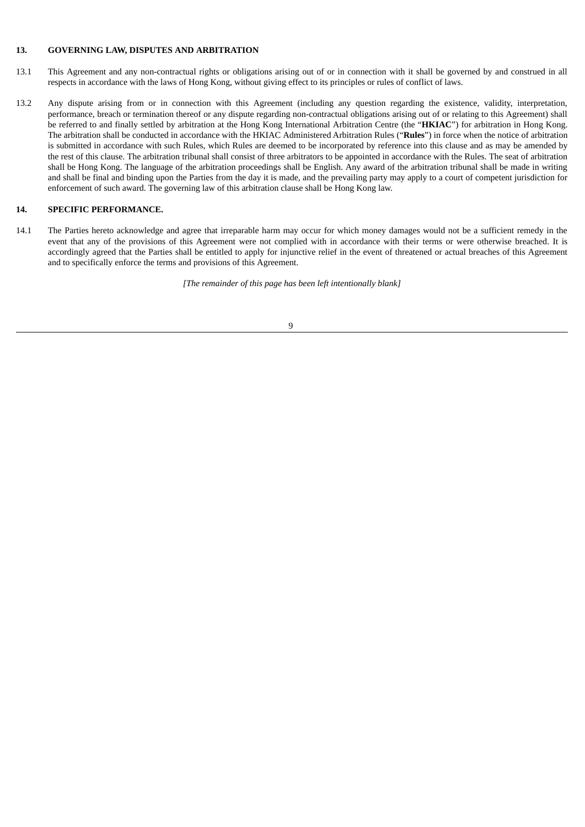### **13. GOVERNING LAW, DISPUTES AND ARBITRATION**

- 13.1 This Agreement and any non-contractual rights or obligations arising out of or in connection with it shall be governed by and construed in all respects in accordance with the laws of Hong Kong, without giving effect to its principles or rules of conflict of laws.
- 13.2 Any dispute arising from or in connection with this Agreement (including any question regarding the existence, validity, interpretation, performance, breach or termination thereof or any dispute regarding non-contractual obligations arising out of or relating to this Agreement) shall be referred to and finally settled by arbitration at the Hong Kong International Arbitration Centre (the "**HKIAC**") for arbitration in Hong Kong. The arbitration shall be conducted in accordance with the HKIAC Administered Arbitration Rules ("**Rules**") in force when the notice of arbitration is submitted in accordance with such Rules, which Rules are deemed to be incorporated by reference into this clause and as may be amended by the rest of this clause. The arbitration tribunal shall consist of three arbitrators to be appointed in accordance with the Rules. The seat of arbitration shall be Hong Kong. The language of the arbitration proceedings shall be English. Any award of the arbitration tribunal shall be made in writing and shall be final and binding upon the Parties from the day it is made, and the prevailing party may apply to a court of competent jurisdiction for enforcement of such award. The governing law of this arbitration clause shall be Hong Kong law.

#### **14. SPECIFIC PERFORMANCE.**

14.1 The Parties hereto acknowledge and agree that irreparable harm may occur for which money damages would not be a sufficient remedy in the event that any of the provisions of this Agreement were not complied with in accordance with their terms or were otherwise breached. It is accordingly agreed that the Parties shall be entitled to apply for injunctive relief in the event of threatened or actual breaches of this Agreement and to specifically enforce the terms and provisions of this Agreement.

*[The remainder of this page has been left intentionally blank]*

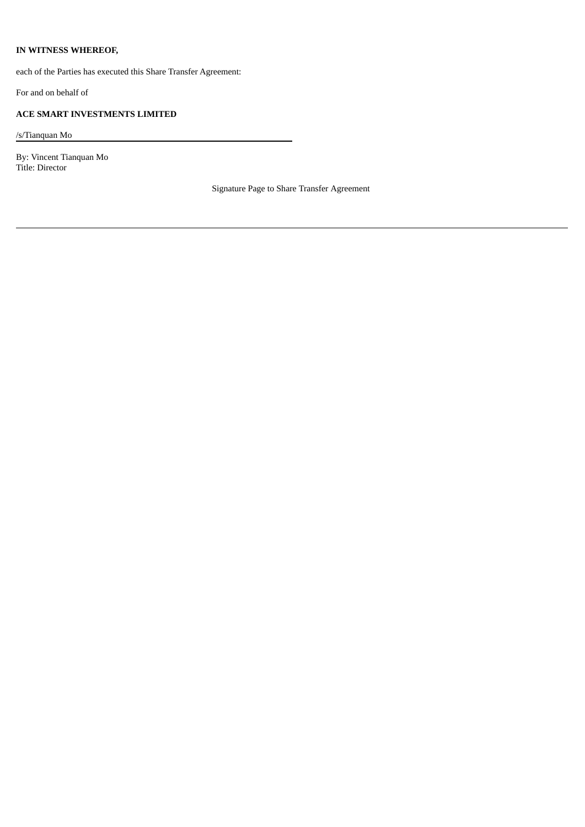# **IN WITNESS WHEREOF,**

each of the Parties has executed this Share Transfer Agreement:

For and on behalf of

# **ACE SMART INVESTMENTS LIMITED**

/s/Tianquan Mo

By: Vincent Tianquan Mo Title: Director

Signature Page to Share Transfer Agreement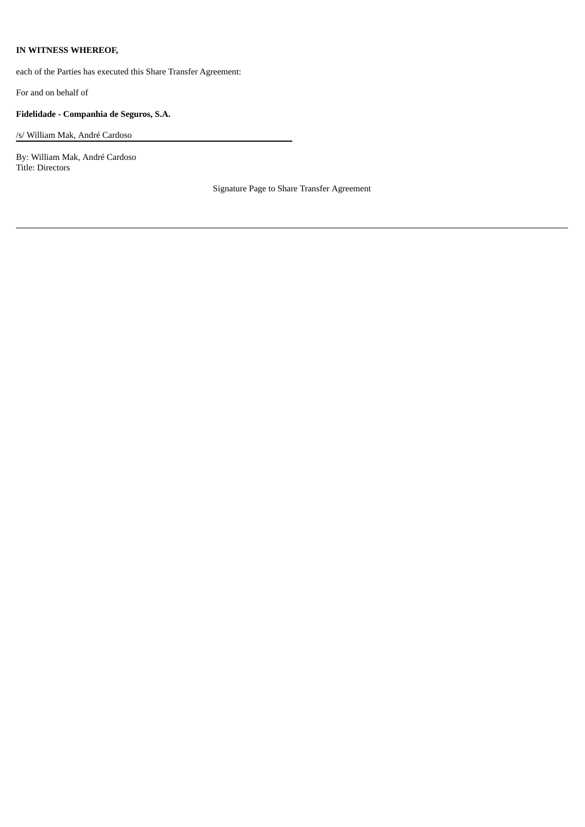# **IN WITNESS WHEREOF,**

each of the Parties has executed this Share Transfer Agreement:

For and on behalf of

# **Fidelidade - Companhia de Seguros, S.A.**

/s/ William Mak, André Cardoso

By: William Mak, André Cardoso Title: Directors

Signature Page to Share Transfer Agreement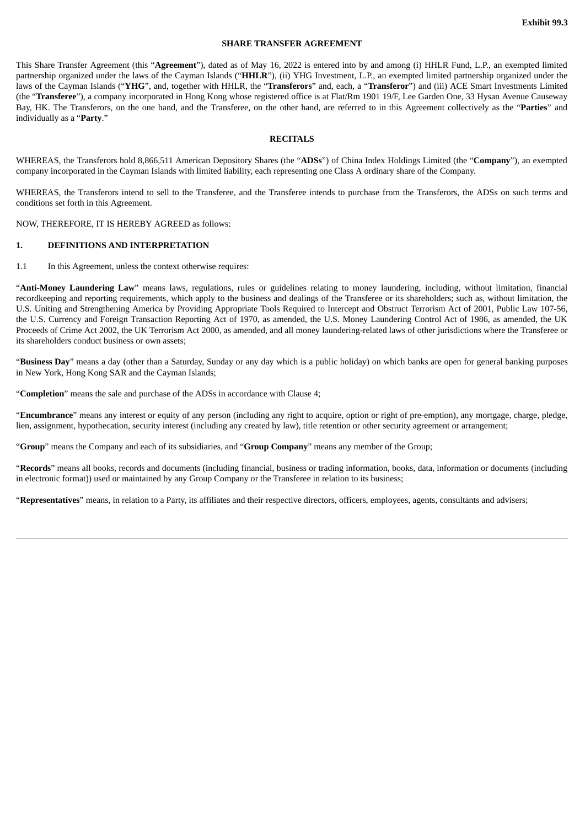#### **SHARE TRANSFER AGREEMENT**

<span id="page-29-0"></span>This Share Transfer Agreement (this "**Agreement**"), dated as of May 16, 2022 is entered into by and among (i) HHLR Fund, L.P., an exempted limited partnership organized under the laws of the Cayman Islands ("**HHLR**"), (ii) YHG Investment, L.P., an exempted limited partnership organized under the laws of the Cayman Islands ("**YHG**", and, together with HHLR, the "**Transferors**" and, each, a "**Transferor**") and (iii) ACE Smart Investments Limited (the "**Transferee**"), a company incorporated in Hong Kong whose registered office is at Flat/Rm 1901 19/F, Lee Garden One, 33 Hysan Avenue Causeway Bay, HK. The Transferors, on the one hand, and the Transferee, on the other hand, are referred to in this Agreement collectively as the "**Parties**" and individually as a "**Party**."

### **RECITALS**

WHEREAS, the Transferors hold 8,866,511 American Depository Shares (the "**ADSs**") of China Index Holdings Limited (the "**Company**"), an exempted company incorporated in the Cayman Islands with limited liability, each representing one Class A ordinary share of the Company.

WHEREAS, the Transferors intend to sell to the Transferee, and the Transferee intends to purchase from the Transferors, the ADSs on such terms and conditions set forth in this Agreement.

NOW, THEREFORE, IT IS HEREBY AGREED as follows:

#### **1. DEFINITIONS AND INTERPRETATION**

1.1 In this Agreement, unless the context otherwise requires:

"**Anti-Money Laundering Law**" means laws, regulations, rules or guidelines relating to money laundering, including, without limitation, financial recordkeeping and reporting requirements, which apply to the business and dealings of the Transferee or its shareholders; such as, without limitation, the U.S. Uniting and Strengthening America by Providing Appropriate Tools Required to Intercept and Obstruct Terrorism Act of 2001, Public Law 107-56, the U.S. Currency and Foreign Transaction Reporting Act of 1970, as amended, the U.S. Money Laundering Control Act of 1986, as amended, the UK Proceeds of Crime Act 2002, the UK Terrorism Act 2000, as amended, and all money laundering-related laws of other jurisdictions where the Transferee or its shareholders conduct business or own assets;

"**Business Day**" means a day (other than a Saturday, Sunday or any day which is a public holiday) on which banks are open for general banking purposes in New York, Hong Kong SAR and the Cayman Islands;

"**Completion**" means the sale and purchase of the ADSs in accordance with Clause 4;

"**Encumbrance**" means any interest or equity of any person (including any right to acquire, option or right of pre-emption), any mortgage, charge, pledge, lien, assignment, hypothecation, security interest (including any created by law), title retention or other security agreement or arrangement;

"**Group**" means the Company and each of its subsidiaries, and "**Group Company**" means any member of the Group;

"**Records**" means all books, records and documents (including financial, business or trading information, books, data, information or documents (including in electronic format)) used or maintained by any Group Company or the Transferee in relation to its business;

"**Representatives**" means, in relation to a Party, its affiliates and their respective directors, officers, employees, agents, consultants and advisers;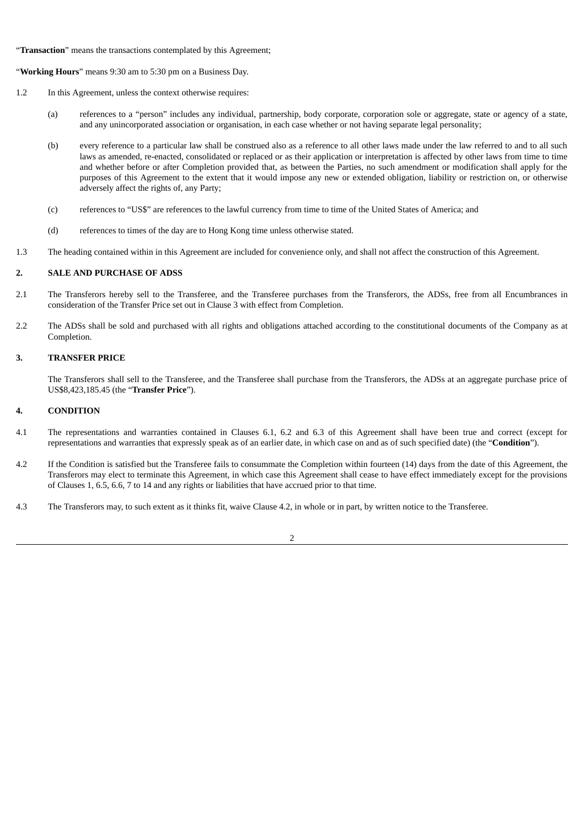"**Transaction**" means the transactions contemplated by this Agreement;

"**Working Hours**" means 9:30 am to 5:30 pm on a Business Day.

- 1.2 In this Agreement, unless the context otherwise requires:
	- (a) references to a "person" includes any individual, partnership, body corporate, corporation sole or aggregate, state or agency of a state, and any unincorporated association or organisation, in each case whether or not having separate legal personality;
	- (b) every reference to a particular law shall be construed also as a reference to all other laws made under the law referred to and to all such laws as amended, re-enacted, consolidated or replaced or as their application or interpretation is affected by other laws from time to time and whether before or after Completion provided that, as between the Parties, no such amendment or modification shall apply for the purposes of this Agreement to the extent that it would impose any new or extended obligation, liability or restriction on, or otherwise adversely affect the rights of, any Party;
	- (c) references to "US\$" are references to the lawful currency from time to time of the United States of America; and
	- (d) references to times of the day are to Hong Kong time unless otherwise stated.
- 1.3 The heading contained within in this Agreement are included for convenience only, and shall not affect the construction of this Agreement.

### **2. SALE AND PURCHASE OF ADSS**

- 2.1 The Transferors hereby sell to the Transferee, and the Transferee purchases from the Transferors, the ADSs, free from all Encumbrances in consideration of the Transfer Price set out in Clause 3 with effect from Completion.
- 2.2 The ADSs shall be sold and purchased with all rights and obligations attached according to the constitutional documents of the Company as at Completion.

#### **3. TRANSFER PRICE**

The Transferors shall sell to the Transferee, and the Transferee shall purchase from the Transferors, the ADSs at an aggregate purchase price of US\$8,423,185.45 (the "**Transfer Price**").

#### **4. CONDITION**

- 4.1 The representations and warranties contained in Clauses 6.1, 6.2 and 6.3 of this Agreement shall have been true and correct (except for representations and warranties that expressly speak as of an earlier date, in which case on and as of such specified date) (the "**Condition**").
- 4.2 If the Condition is satisfied but the Transferee fails to consummate the Completion within fourteen (14) days from the date of this Agreement, the Transferors may elect to terminate this Agreement, in which case this Agreement shall cease to have effect immediately except for the provisions of Clauses 1, 6.5, 6.6, 7 to 14 and any rights or liabilities that have accrued prior to that time.
- 4.3 The Transferors may, to such extent as it thinks fit, waive Clause 4.2, in whole or in part, by written notice to the Transferee.

2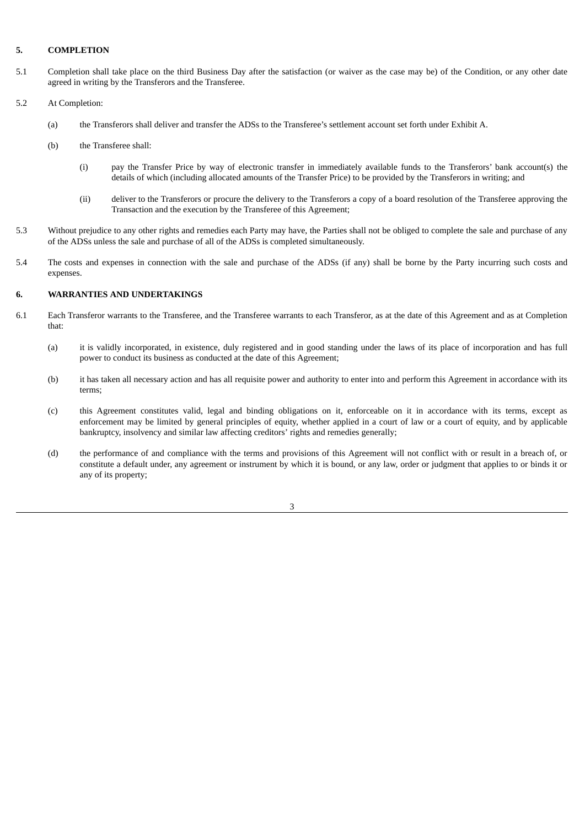### **5. COMPLETION**

- 5.1 Completion shall take place on the third Business Day after the satisfaction (or waiver as the case may be) of the Condition, or any other date agreed in writing by the Transferors and the Transferee.
- 5.2 At Completion:
	- (a) the Transferors shall deliver and transfer the ADSs to the Transferee's settlement account set forth under Exhibit A.
	- (b) the Transferee shall:
		- (i) pay the Transfer Price by way of electronic transfer in immediately available funds to the Transferors' bank account(s) the details of which (including allocated amounts of the Transfer Price) to be provided by the Transferors in writing; and
		- (ii) deliver to the Transferors or procure the delivery to the Transferors a copy of a board resolution of the Transferee approving the Transaction and the execution by the Transferee of this Agreement;
- 5.3 Without prejudice to any other rights and remedies each Party may have, the Parties shall not be obliged to complete the sale and purchase of any of the ADSs unless the sale and purchase of all of the ADSs is completed simultaneously.
- 5.4 The costs and expenses in connection with the sale and purchase of the ADSs (if any) shall be borne by the Party incurring such costs and expenses.

### **6. WARRANTIES AND UNDERTAKINGS**

- 6.1 Each Transferor warrants to the Transferee, and the Transferee warrants to each Transferor, as at the date of this Agreement and as at Completion that:
	- (a) it is validly incorporated, in existence, duly registered and in good standing under the laws of its place of incorporation and has full power to conduct its business as conducted at the date of this Agreement;
	- (b) it has taken all necessary action and has all requisite power and authority to enter into and perform this Agreement in accordance with its terms;
	- (c) this Agreement constitutes valid, legal and binding obligations on it, enforceable on it in accordance with its terms, except as enforcement may be limited by general principles of equity, whether applied in a court of law or a court of equity, and by applicable bankruptcy, insolvency and similar law affecting creditors' rights and remedies generally;
	- (d) the performance of and compliance with the terms and provisions of this Agreement will not conflict with or result in a breach of, or constitute a default under, any agreement or instrument by which it is bound, or any law, order or judgment that applies to or binds it or any of its property;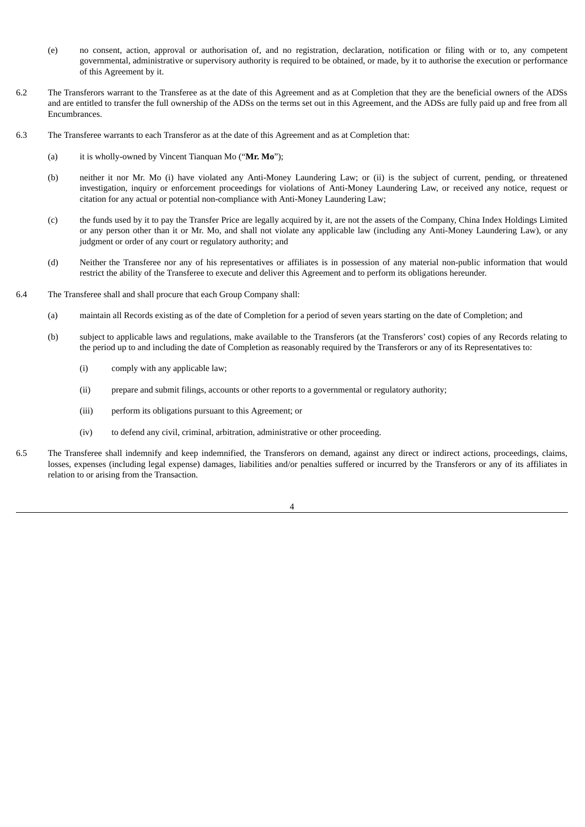- (e) no consent, action, approval or authorisation of, and no registration, declaration, notification or filing with or to, any competent governmental, administrative or supervisory authority is required to be obtained, or made, by it to authorise the execution or performance of this Agreement by it.
- 6.2 The Transferors warrant to the Transferee as at the date of this Agreement and as at Completion that they are the beneficial owners of the ADSs and are entitled to transfer the full ownership of the ADSs on the terms set out in this Agreement, and the ADSs are fully paid up and free from all Encumbrances.
- 6.3 The Transferee warrants to each Transferor as at the date of this Agreement and as at Completion that:
	- (a) it is wholly-owned by Vincent Tianquan Mo ("**Mr. Mo**");
	- (b) neither it nor Mr. Mo (i) have violated any Anti-Money Laundering Law; or (ii) is the subject of current, pending, or threatened investigation, inquiry or enforcement proceedings for violations of Anti-Money Laundering Law, or received any notice, request or citation for any actual or potential non-compliance with Anti-Money Laundering Law;
	- (c) the funds used by it to pay the Transfer Price are legally acquired by it, are not the assets of the Company, China Index Holdings Limited or any person other than it or Mr. Mo, and shall not violate any applicable law (including any Anti-Money Laundering Law), or any judgment or order of any court or regulatory authority; and
	- (d) Neither the Transferee nor any of his representatives or affiliates is in possession of any material non-public information that would restrict the ability of the Transferee to execute and deliver this Agreement and to perform its obligations hereunder.
- 6.4 The Transferee shall and shall procure that each Group Company shall:
	- (a) maintain all Records existing as of the date of Completion for a period of seven years starting on the date of Completion; and
	- (b) subject to applicable laws and regulations, make available to the Transferors (at the Transferors' cost) copies of any Records relating to the period up to and including the date of Completion as reasonably required by the Transferors or any of its Representatives to:
		- (i) comply with any applicable law;
		- (ii) prepare and submit filings, accounts or other reports to a governmental or regulatory authority;
		- (iii) perform its obligations pursuant to this Agreement; or
		- (iv) to defend any civil, criminal, arbitration, administrative or other proceeding.
- 6.5 The Transferee shall indemnify and keep indemnified, the Transferors on demand, against any direct or indirect actions, proceedings, claims, losses, expenses (including legal expense) damages, liabilities and/or penalties suffered or incurred by the Transferors or any of its affiliates in relation to or arising from the Transaction.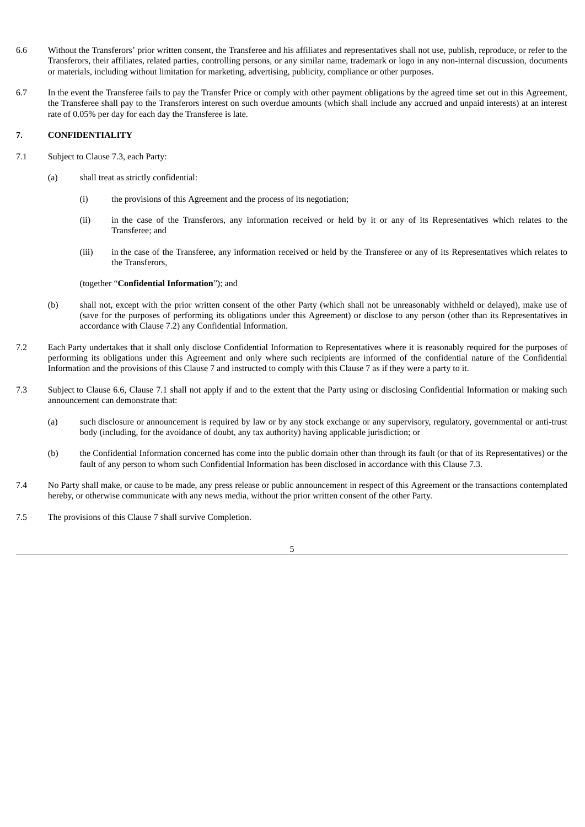- 6.6 Without the Transferors' prior written consent, the Transferee and his affiliates and representatives shall not use, publish, reproduce, or refer to the Transferors, their affiliates, related parties, controlling persons, or any similar name, trademark or logo in any non-internal discussion, documents or materials, including without limitation for marketing, advertising, publicity, compliance or other purposes.
- 6.7 In the event the Transferee fails to pay the Transfer Price or comply with other payment obligations by the agreed time set out in this Agreement, the Transferee shall pay to the Transferors interest on such overdue amounts (which shall include any accrued and unpaid interests) at an interest rate of 0.05% per day for each day the Transferee is late.

# **7. CONFIDENTIALITY**

- 7.1 Subject to Clause 7.3, each Party:
	- (a) shall treat as strictly confidential:
		- (i) the provisions of this Agreement and the process of its negotiation;
		- (ii) in the case of the Transferors, any information received or held by it or any of its Representatives which relates to the Transferee; and
		- (iii) in the case of the Transferee, any information received or held by the Transferee or any of its Representatives which relates to the Transferors,

#### (together "**Confidential Information**"); and

- (b) shall not, except with the prior written consent of the other Party (which shall not be unreasonably withheld or delayed), make use of (save for the purposes of performing its obligations under this Agreement) or disclose to any person (other than its Representatives in accordance with Clause 7.2) any Confidential Information.
- 7.2 Each Party undertakes that it shall only disclose Confidential Information to Representatives where it is reasonably required for the purposes of performing its obligations under this Agreement and only where such recipients are informed of the confidential nature of the Confidential Information and the provisions of this Clause 7 and instructed to comply with this Clause 7 as if they were a party to it.
- 7.3 Subject to Clause 6.6, Clause 7.1 shall not apply if and to the extent that the Party using or disclosing Confidential Information or making such announcement can demonstrate that:
	- (a) such disclosure or announcement is required by law or by any stock exchange or any supervisory, regulatory, governmental or anti-trust body (including, for the avoidance of doubt, any tax authority) having applicable jurisdiction; or
	- (b) the Confidential Information concerned has come into the public domain other than through its fault (or that of its Representatives) or the fault of any person to whom such Confidential Information has been disclosed in accordance with this Clause 7.3.
- 7.4 No Party shall make, or cause to be made, any press release or public announcement in respect of this Agreement or the transactions contemplated hereby, or otherwise communicate with any news media, without the prior written consent of the other Party.
- 7.5 The provisions of this Clause 7 shall survive Completion.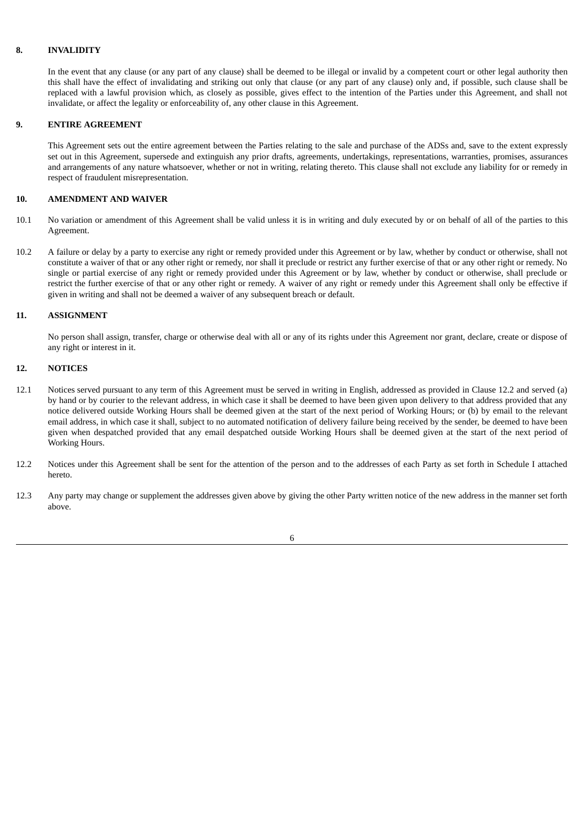### **8. INVALIDITY**

In the event that any clause (or any part of any clause) shall be deemed to be illegal or invalid by a competent court or other legal authority then this shall have the effect of invalidating and striking out only that clause (or any part of any clause) only and, if possible, such clause shall be replaced with a lawful provision which, as closely as possible, gives effect to the intention of the Parties under this Agreement, and shall not invalidate, or affect the legality or enforceability of, any other clause in this Agreement.

#### **9. ENTIRE AGREEMENT**

This Agreement sets out the entire agreement between the Parties relating to the sale and purchase of the ADSs and, save to the extent expressly set out in this Agreement, supersede and extinguish any prior drafts, agreements, undertakings, representations, warranties, promises, assurances and arrangements of any nature whatsoever, whether or not in writing, relating thereto. This clause shall not exclude any liability for or remedy in respect of fraudulent misrepresentation.

### **10. AMENDMENT AND WAIVER**

- 10.1 No variation or amendment of this Agreement shall be valid unless it is in writing and duly executed by or on behalf of all of the parties to this Agreement.
- 10.2 A failure or delay by a party to exercise any right or remedy provided under this Agreement or by law, whether by conduct or otherwise, shall not constitute a waiver of that or any other right or remedy, nor shall it preclude or restrict any further exercise of that or any other right or remedy. No single or partial exercise of any right or remedy provided under this Agreement or by law, whether by conduct or otherwise, shall preclude or restrict the further exercise of that or any other right or remedy. A waiver of any right or remedy under this Agreement shall only be effective if given in writing and shall not be deemed a waiver of any subsequent breach or default.

#### **11. ASSIGNMENT**

No person shall assign, transfer, charge or otherwise deal with all or any of its rights under this Agreement nor grant, declare, create or dispose of any right or interest in it.

#### **12. NOTICES**

- 12.1 Notices served pursuant to any term of this Agreement must be served in writing in English, addressed as provided in Clause 12.2 and served (a) by hand or by courier to the relevant address, in which case it shall be deemed to have been given upon delivery to that address provided that any notice delivered outside Working Hours shall be deemed given at the start of the next period of Working Hours; or (b) by email to the relevant email address, in which case it shall, subject to no automated notification of delivery failure being received by the sender, be deemed to have been given when despatched provided that any email despatched outside Working Hours shall be deemed given at the start of the next period of Working Hours.
- 12.2 Notices under this Agreement shall be sent for the attention of the person and to the addresses of each Party as set forth in Schedule I attached hereto.
- 12.3 Any party may change or supplement the addresses given above by giving the other Party written notice of the new address in the manner set forth above.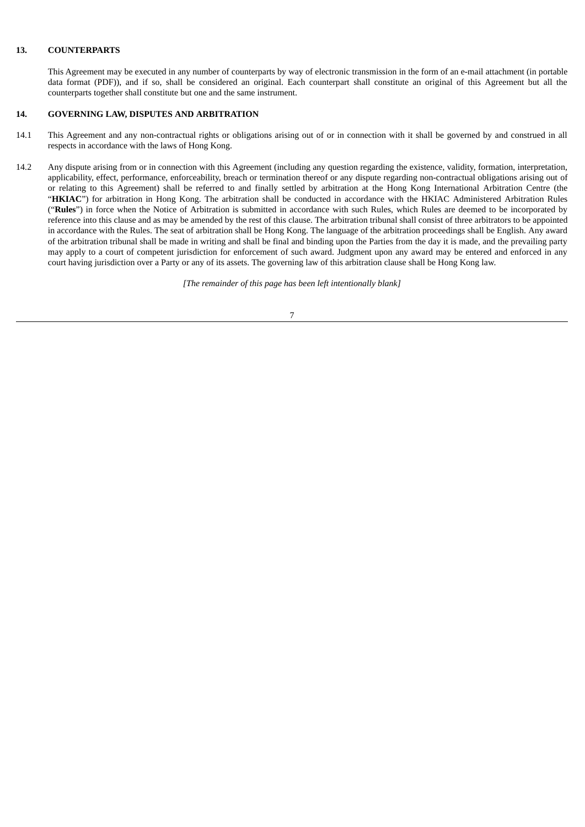### **13. COUNTERPARTS**

This Agreement may be executed in any number of counterparts by way of electronic transmission in the form of an e-mail attachment (in portable data format (PDF)), and if so, shall be considered an original. Each counterpart shall constitute an original of this Agreement but all the counterparts together shall constitute but one and the same instrument.

### **14. GOVERNING LAW, DISPUTES AND ARBITRATION**

- 14.1 This Agreement and any non-contractual rights or obligations arising out of or in connection with it shall be governed by and construed in all respects in accordance with the laws of Hong Kong.
- 14.2 Any dispute arising from or in connection with this Agreement (including any question regarding the existence, validity, formation, interpretation, applicability, effect, performance, enforceability, breach or termination thereof or any dispute regarding non-contractual obligations arising out of or relating to this Agreement) shall be referred to and finally settled by arbitration at the Hong Kong International Arbitration Centre (the "**HKIAC**") for arbitration in Hong Kong. The arbitration shall be conducted in accordance with the HKIAC Administered Arbitration Rules ("**Rules**") in force when the Notice of Arbitration is submitted in accordance with such Rules, which Rules are deemed to be incorporated by reference into this clause and as may be amended by the rest of this clause. The arbitration tribunal shall consist of three arbitrators to be appointed in accordance with the Rules. The seat of arbitration shall be Hong Kong. The language of the arbitration proceedings shall be English. Any award of the arbitration tribunal shall be made in writing and shall be final and binding upon the Parties from the day it is made, and the prevailing party may apply to a court of competent jurisdiction for enforcement of such award. Judgment upon any award may be entered and enforced in any court having jurisdiction over a Party or any of its assets. The governing law of this arbitration clause shall be Hong Kong law.

*[The remainder of this page has been left intentionally blank]*

7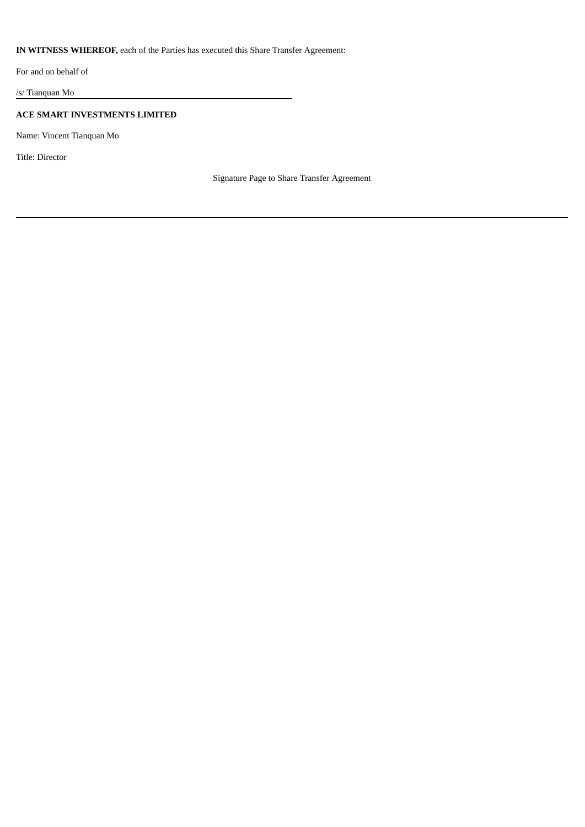# **IN WITNESS WHEREOF,** each of the Parties has executed this Share Transfer Agreement:

For and on behalf of

/s/ Tianquan Mo

# **ACE SMART INVESTMENTS LIMITED**

Name: Vincent Tianquan Mo

Title: Director

Signature Page to Share Transfer Agreement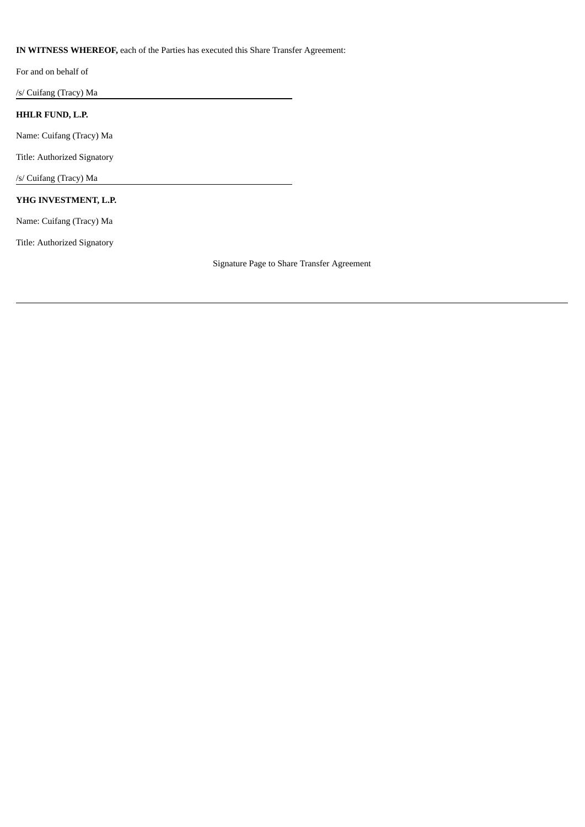# **IN WITNESS WHEREOF,** each of the Parties has executed this Share Transfer Agreement:

For and on behalf of

/s/ Cuifang (Tracy) Ma

# **HHLR FUND, L.P.**

Name: Cuifang (Tracy) Ma

Title: Authorized Signatory

/s/ Cuifang (Tracy) Ma

# **YHG INVESTMENT, L.P.**

Name: Cuifang (Tracy) Ma

Title: Authorized Signatory

Signature Page to Share Transfer Agreement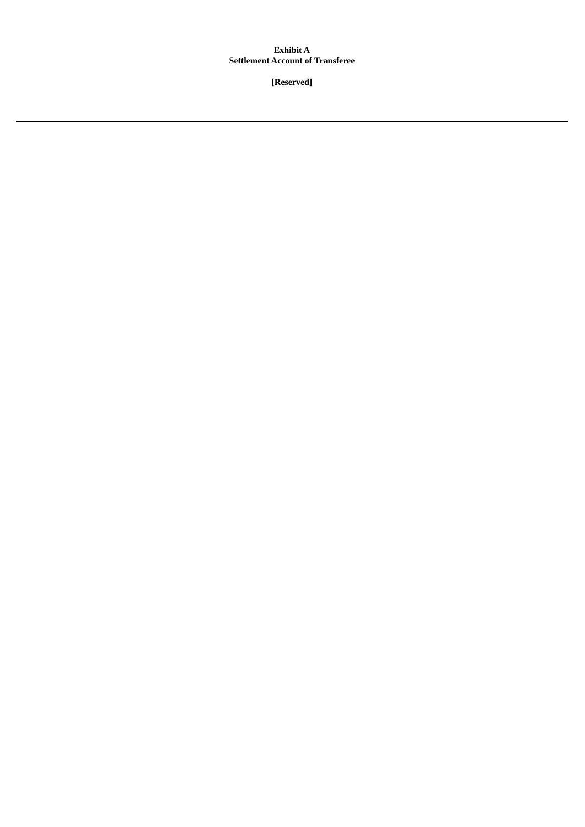# **Exhibit A Settlement Account of Transferee**

**[Reserved]**